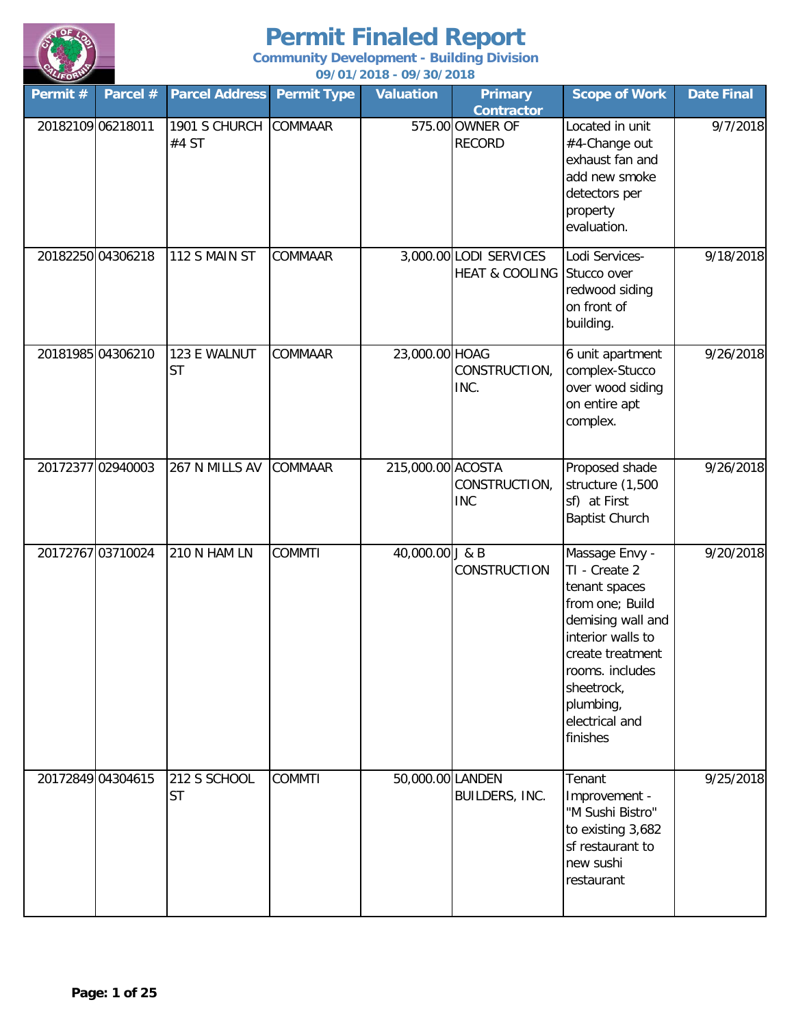

| Permit #          | Parcel # | <b>Parcel Address</b>     | <b>Permit Type</b> | <b>Valuation</b>  | <b>Primary</b><br><b>Contractor</b>                  | <b>Scope of Work</b>                                                                                                                                                                                          | <b>Date Final</b> |
|-------------------|----------|---------------------------|--------------------|-------------------|------------------------------------------------------|---------------------------------------------------------------------------------------------------------------------------------------------------------------------------------------------------------------|-------------------|
| 20182109 06218011 |          | 1901 S CHURCH<br>#4 ST    | <b>COMMAAR</b>     |                   | 575.00 OWNER OF<br><b>RECORD</b>                     | Located in unit<br>#4-Change out<br>exhaust fan and<br>add new smoke<br>detectors per<br>property<br>evaluation.                                                                                              | 9/7/2018          |
| 20182250 04306218 |          | 112 S MAIN ST             | COMMAAR            |                   | 3,000.00 LODI SERVICES<br>HEAT & COOLING Stucco over | Lodi Services-<br>redwood siding<br>on front of<br>building.                                                                                                                                                  | 9/18/2018         |
| 20181985 04306210 |          | 123 E WALNUT<br><b>ST</b> | COMMAAR            | 23,000.00 HOAG    | CONSTRUCTION,<br>INC.                                | 6 unit apartment<br>complex-Stucco<br>over wood siding<br>on entire apt<br>complex.                                                                                                                           | 9/26/2018         |
| 20172377 02940003 |          | 267 N MILLS AV            | COMMAAR            | 215,000.00 ACOSTA | CONSTRUCTION,<br><b>INC</b>                          | Proposed shade<br>structure (1,500<br>sf) at First<br><b>Baptist Church</b>                                                                                                                                   | 9/26/2018         |
| 20172767 03710024 |          | 210 N HAM LN              | <b>COMMTI</b>      | 40,000.00 J & B   | CONSTRUCTION                                         | Massage Envy -<br>TI - Create 2<br>tenant spaces<br>from one; Build<br>demising wall and<br>interior walls to<br>create treatment<br>rooms. includes<br>sheetrock,<br>plumbing,<br>electrical and<br>finishes | 9/20/2018         |
| 20172849 04304615 |          | 212 S SCHOOL<br><b>ST</b> | <b>COMMTI</b>      | 50,000.00 LANDEN  | BUILDERS, INC.                                       | Tenant<br>Improvement -<br>"M Sushi Bistro"<br>to existing 3,682<br>sf restaurant to<br>new sushi<br>restaurant                                                                                               | 9/25/2018         |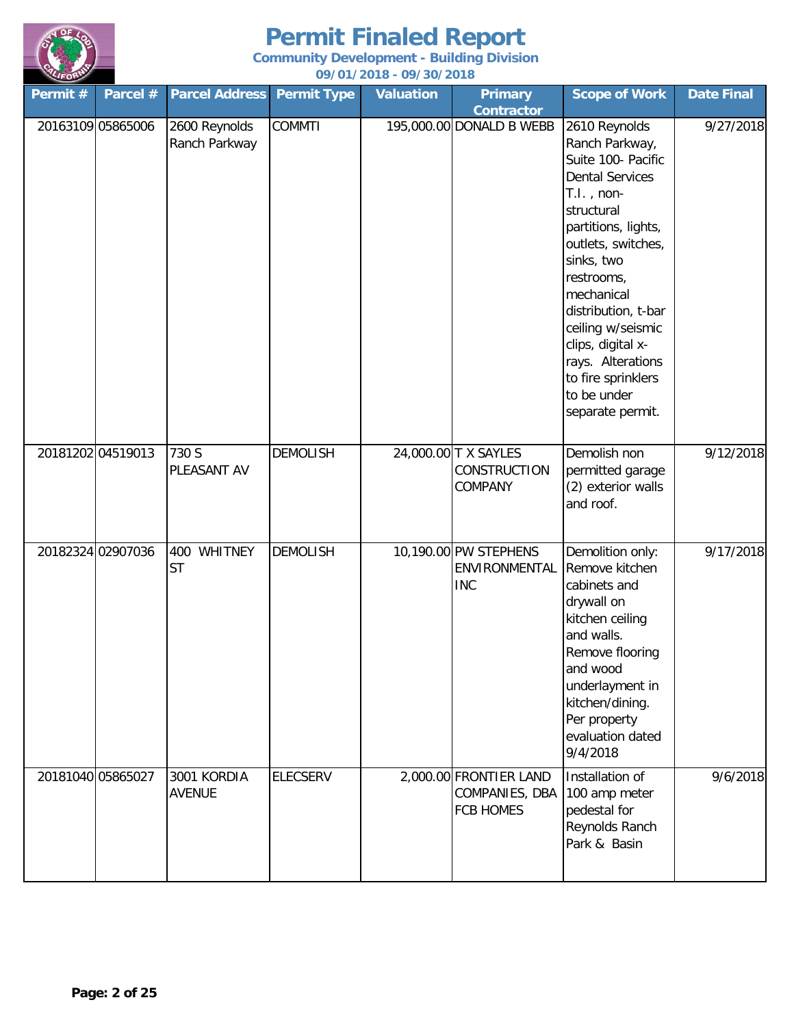

| Permit $#$        | Parcel # | <b>Parcel Address</b>          | <b>Permit Type</b> | <b>Valuation</b> | <b>Primary</b><br><b>Contractor</b>                          | <b>Scope of Work</b>                                                                                                                                                                                                                                                                                                                                 | <b>Date Final</b> |
|-------------------|----------|--------------------------------|--------------------|------------------|--------------------------------------------------------------|------------------------------------------------------------------------------------------------------------------------------------------------------------------------------------------------------------------------------------------------------------------------------------------------------------------------------------------------------|-------------------|
| 20163109 05865006 |          | 2600 Reynolds<br>Ranch Parkway | <b>COMMTI</b>      |                  | 195,000.00 DONALD B WEBB                                     | 2610 Reynolds<br>Ranch Parkway,<br>Suite 100- Pacific<br><b>Dental Services</b><br>$T.I.$ , non-<br>structural<br>partitions, lights,<br>outlets, switches,<br>sinks, two<br>restrooms,<br>mechanical<br>distribution, t-bar<br>ceiling w/seismic<br>clips, digital x-<br>rays. Alterations<br>to fire sprinklers<br>to be under<br>separate permit. | 9/27/2018         |
| 20181202 04519013 |          | 730 S<br>PLEASANT AV           | <b>DEMOLISH</b>    |                  | 24,000.00 T X SAYLES<br><b>CONSTRUCTION</b><br>COMPANY       | Demolish non<br>permitted garage<br>(2) exterior walls<br>and roof.                                                                                                                                                                                                                                                                                  | 9/12/2018         |
| 20182324 02907036 |          | 400 WHITNEY<br><b>ST</b>       | <b>DEMOLISH</b>    |                  | 10,190.00 PW STEPHENS<br>ENVIRONMENTAL<br><b>INC</b>         | Demolition only:<br>Remove kitchen<br>cabinets and<br>drywall on<br>kitchen ceiling<br>and walls.<br>Remove flooring<br>and wood<br>underlayment in<br>kitchen/dining.<br>Per property<br>evaluation dated<br>9/4/2018                                                                                                                               | 9/17/2018         |
| 20181040 05865027 |          | 3001 KORDIA<br><b>AVENUE</b>   | <b>ELECSERV</b>    |                  | 2,000.00 FRONTIER LAND<br>COMPANIES, DBA<br><b>FCB HOMES</b> | Installation of<br>100 amp meter<br>pedestal for<br>Reynolds Ranch<br>Park & Basin                                                                                                                                                                                                                                                                   | 9/6/2018          |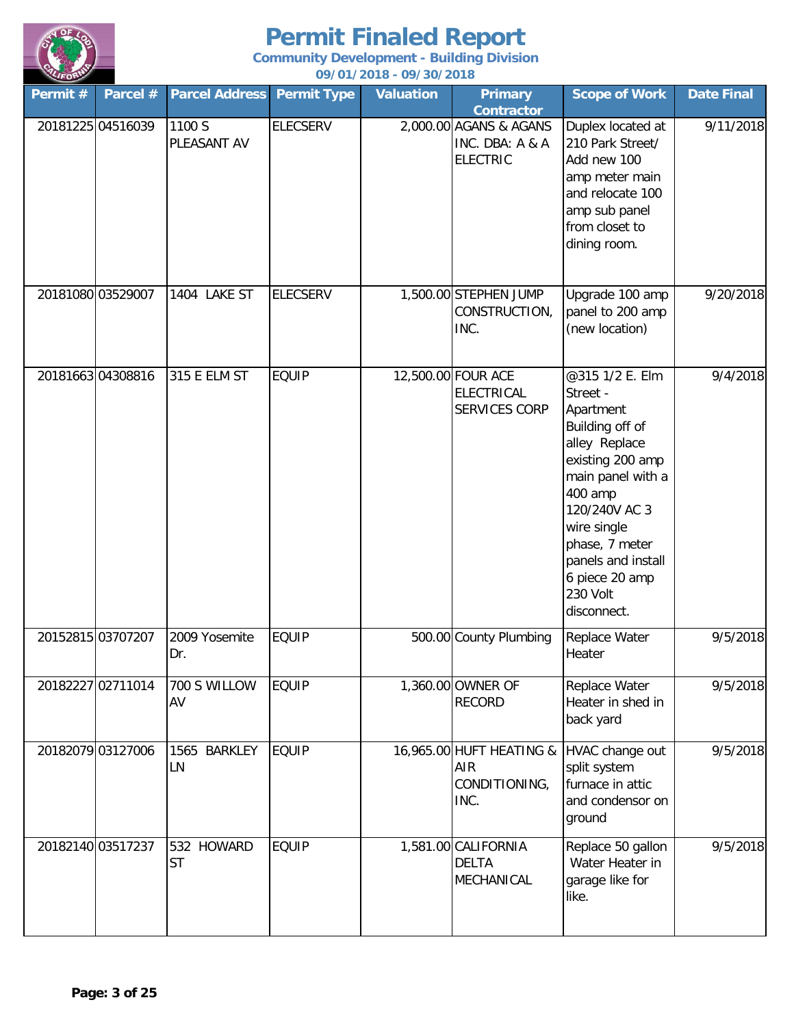

**Community Development - Building Division**

| LIFORD            |                   |                         |                    | 09/01/2018 - 09/30/2018 |                                                              |                                                                                                                                                                                                                                                       |                       |
|-------------------|-------------------|-------------------------|--------------------|-------------------------|--------------------------------------------------------------|-------------------------------------------------------------------------------------------------------------------------------------------------------------------------------------------------------------------------------------------------------|-----------------------|
| Permit #          | Parcel #          | <b>Parcel Address</b>   | <b>Permit Type</b> | <b>Valuation</b>        | <b>Primary</b><br><b>Contractor</b>                          | <b>Scope of Work</b>                                                                                                                                                                                                                                  | <b>Date Final</b>     |
|                   | 20181225 04516039 | 1100 S<br>PLEASANT AV   | <b>ELECSERV</b>    |                         | 2,000.00 AGANS & AGANS<br>INC. DBA: A & A<br><b>ELECTRIC</b> | Duplex located at<br>210 Park Street/<br>Add new 100<br>amp meter main<br>and relocate 100<br>amp sub panel<br>from closet to<br>dining room.                                                                                                         | 9/11/2018             |
| 20181080 03529007 |                   | 1404 LAKE ST            | <b>ELECSERV</b>    |                         | 1,500.00 STEPHEN JUMP<br>CONSTRUCTION,<br>INC.               | Upgrade 100 amp<br>panel to 200 amp<br>(new location)                                                                                                                                                                                                 | 9/20/2018             |
| 20181663 04308816 |                   | 315 E ELM ST            | <b>EQUIP</b>       |                         | 12,500.00 FOUR ACE<br><b>ELECTRICAL</b><br>SERVICES CORP     | @315 1/2 E. Elm<br>Street -<br>Apartment<br>Building off of<br>alley Replace<br>existing 200 amp<br>main panel with a<br>400 amp<br>120/240V AC 3<br>wire single<br>phase, 7 meter<br>panels and install<br>6 piece 20 amp<br>230 Volt<br>disconnect. | 9/4/2018              |
| 20152815 03707207 |                   | 2009 Yosemite<br>Dr.    | <b>EQUIP</b>       |                         | 500.00 County Plumbing                                       | Replace Water<br>Heater                                                                                                                                                                                                                               | 9/5/2018              |
|                   | 20182227 02711014 | 700 S WILLOW<br>AV      | <b>EQUIP</b>       |                         | 1,360.00 OWNER OF<br><b>RECORD</b>                           | Replace Water<br>Heater in shed in<br>back yard                                                                                                                                                                                                       | $\frac{1}{9}$ /5/2018 |
|                   | 20182079 03127006 | 1565 BARKLEY<br>LN      | <b>EQUIP</b>       |                         | 16,965.00 HUFT HEATING &<br>AIR<br>CONDITIONING,<br>INC.     | HVAC change out<br>split system<br>furnace in attic<br>and condensor on<br>ground                                                                                                                                                                     | 9/5/2018              |
| 20182140 03517237 |                   | 532 HOWARD<br><b>ST</b> | <b>EQUIP</b>       |                         | 1,581.00 CALIFORNIA<br><b>DELTA</b><br>MECHANICAL            | Replace 50 gallon<br>Water Heater in<br>garage like for<br>like.                                                                                                                                                                                      | 9/5/2018              |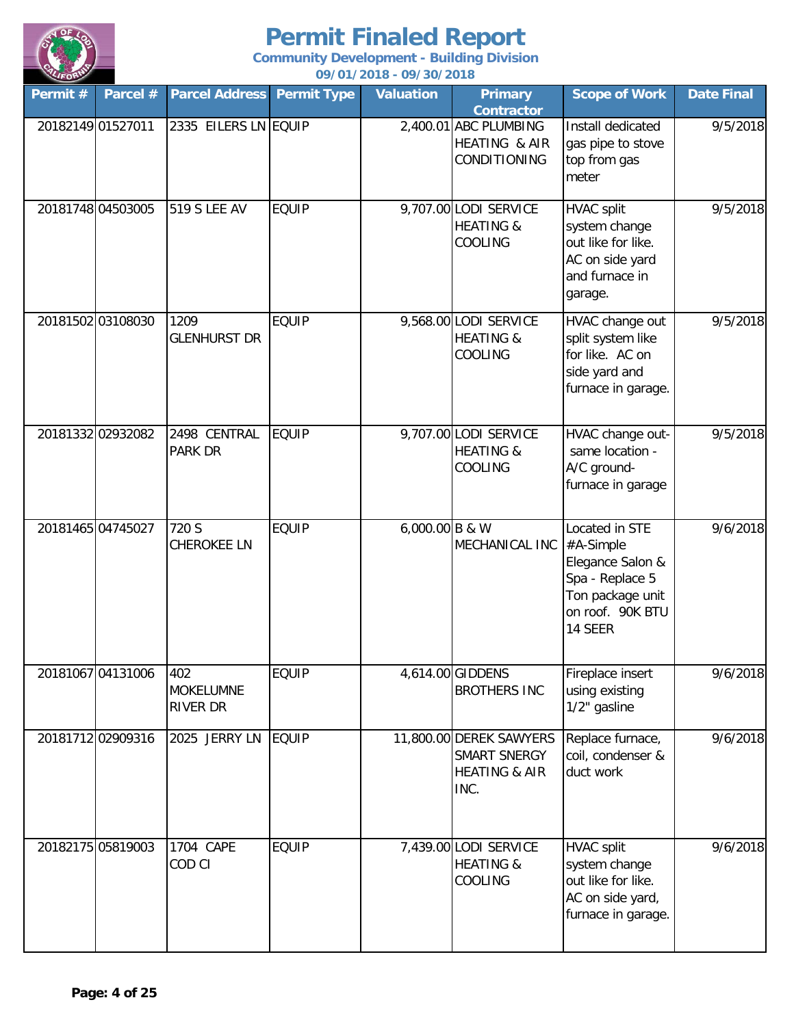

| $\sim$<br>Permit # | Parcel # | <b>Parcel Address Permit Type</b>          |              | <u>077 017 2010 - 077 307 2010</u><br><b>Valuation</b> | <b>Primary</b><br><b>Contractor</b>                                         | <b>Scope of Work</b>                                                                                                  | <b>Date Final</b> |
|--------------------|----------|--------------------------------------------|--------------|--------------------------------------------------------|-----------------------------------------------------------------------------|-----------------------------------------------------------------------------------------------------------------------|-------------------|
| 20182149 01527011  |          | 2335 EILERS LN EQUIP                       |              |                                                        | 2,400.01 ABC PLUMBING<br>HEATING & AIR<br>CONDITIONING                      | Install dedicated<br>gas pipe to stove<br>top from gas<br>meter                                                       | 9/5/2018          |
| 20181748 04503005  |          | <b>519 S LEE AV</b>                        | <b>EQUIP</b> |                                                        | 9,707.00 LODI SERVICE<br><b>HEATING &amp;</b><br>COOLING                    | <b>HVAC split</b><br>system change<br>out like for like.<br>AC on side yard<br>and furnace in<br>garage.              | 9/5/2018          |
| 20181502 03108030  |          | 1209<br><b>GLENHURST DR</b>                | <b>EQUIP</b> |                                                        | 9,568.00 LODI SERVICE<br><b>HEATING &amp;</b><br><b>COOLING</b>             | HVAC change out<br>split system like<br>for like. AC on<br>side yard and<br>furnace in garage.                        | 9/5/2018          |
| 20181332 02932082  |          | 2498 CENTRAL<br>PARK DR                    | <b>EQUIP</b> |                                                        | 9,707.00 LODI SERVICE<br><b>HEATING &amp;</b><br>COOLING                    | HVAC change out-<br>same location -<br>A/C ground-<br>furnace in garage                                               | 9/5/2018          |
| 20181465 04745027  |          | 720 S<br><b>CHEROKEE LN</b>                | <b>EQUIP</b> | 6,000.00 B & W                                         | MECHANICAL INC                                                              | Located in STE<br>#A-Simple<br>Elegance Salon &<br>Spa - Replace 5<br>Ton package unit<br>on roof. 90K BTU<br>14 SEER | 9/6/2018          |
| 20181067 04131006  |          | 402<br><b>MOKELUMNE</b><br><b>RIVER DR</b> | <b>EQUIP</b> |                                                        | 4,614.00 GIDDENS<br><b>BROTHERS INC</b>                                     | Fireplace insert<br>using existing<br>1/2" gasline                                                                    | 9/6/2018          |
| 20181712 02909316  |          | 2025 JERRY LN                              | <b>EQUIP</b> |                                                        | 11,800.00 DEREK SAWYERS<br>SMART SNERGY<br><b>HEATING &amp; AIR</b><br>INC. | Replace furnace,<br>coil, condenser &<br>duct work                                                                    | 9/6/2018          |
| 20182175 05819003  |          | 1704 CAPE<br>COD CI                        | <b>EQUIP</b> |                                                        | 7,439.00 LODI SERVICE<br><b>HEATING &amp;</b><br>COOLING                    | <b>HVAC split</b><br>system change<br>out like for like.<br>AC on side yard,<br>furnace in garage.                    | 9/6/2018          |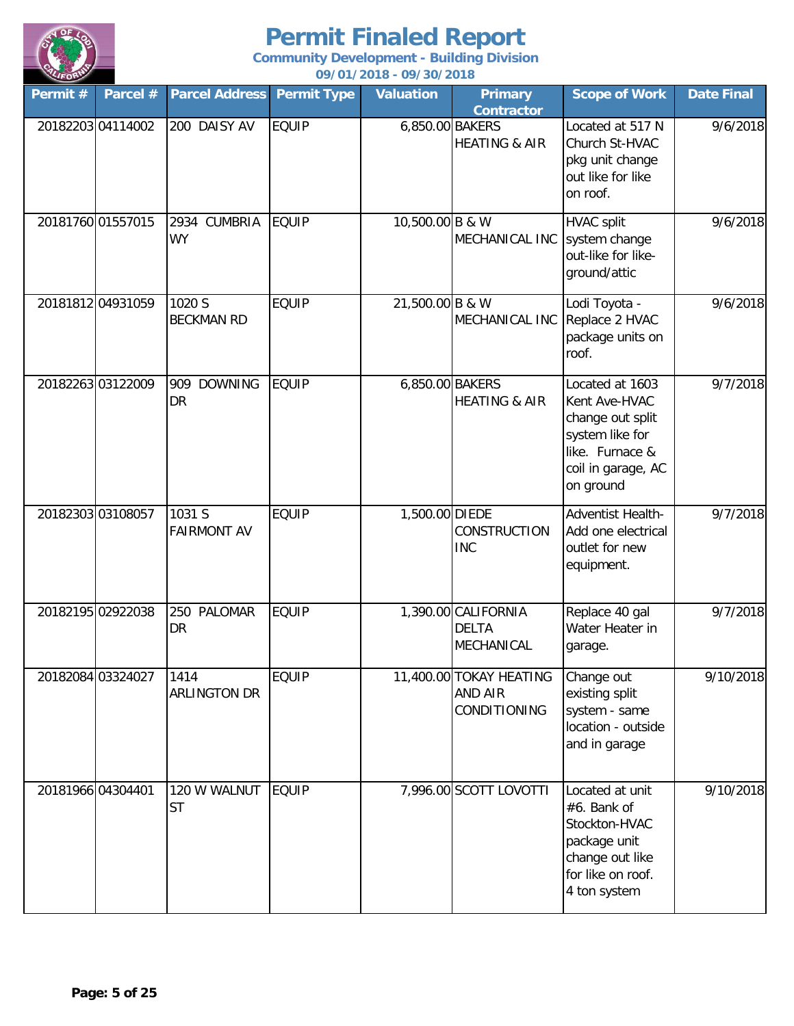

| Permit #          | Parcel #          | <b>Parcel Address</b>        | <b>Permit Type</b> | <b>Valuation</b> | <b>Primary</b><br><b>Contractor</b>                | <b>Scope of Work</b>                                                                                                          | <b>Date Final</b> |
|-------------------|-------------------|------------------------------|--------------------|------------------|----------------------------------------------------|-------------------------------------------------------------------------------------------------------------------------------|-------------------|
|                   | 20182203 04114002 | 200 DAISY AV                 | <b>EQUIP</b>       | 6,850.00 BAKERS  | <b>HEATING &amp; AIR</b>                           | Located at 517 N<br>Church St-HVAC<br>pkg unit change<br>out like for like<br>on roof.                                        | 9/6/2018          |
| 20181760 01557015 |                   | 2934 CUMBRIA<br><b>WY</b>    | <b>EQUIP</b>       | 10,500.00 B & W  | MECHANICAL INC                                     | <b>HVAC split</b><br>system change<br>out-like for like-<br>ground/attic                                                      | 9/6/2018          |
|                   | 20181812 04931059 | 1020 S<br><b>BECKMAN RD</b>  | <b>EQUIP</b>       | 21,500.00 B & W  | MECHANICAL INC                                     | Lodi Toyota -<br>Replace 2 HVAC<br>package units on<br>roof.                                                                  | 9/6/2018          |
|                   | 20182263 03122009 | 909 DOWNING<br>DR            | <b>EQUIP</b>       | 6,850.00 BAKERS  | <b>HEATING &amp; AIR</b>                           | Located at 1603<br>Kent Ave-HVAC<br>change out split<br>system like for<br>like. Furnace &<br>coil in garage, AC<br>on ground | 9/7/2018          |
| 20182303 03108057 |                   | 1031 S<br><b>FAIRMONT AV</b> | <b>EQUIP</b>       | 1,500.00 DIEDE   | CONSTRUCTION<br><b>INC</b>                         | Adventist Health-<br>Add one electrical<br>outlet for new<br>equipment.                                                       | 9/7/2018          |
|                   | 20182195 02922038 | 250 PALOMAR<br><b>DR</b>     | <b>EQUIP</b>       |                  | 1,390.00 CALIFORNIA<br><b>DELTA</b><br>MECHANICAL  | Replace 40 gal<br>Water Heater in<br>garage.                                                                                  | 9/7/2018          |
|                   | 20182084 03324027 | 1414<br><b>ARLINGTON DR</b>  | <b>EQUIP</b>       |                  | 11,400.00 TOKAY HEATING<br>AND AIR<br>CONDITIONING | Change out<br>existing split<br>system - same<br>location - outside<br>and in garage                                          | 9/10/2018         |
| 20181966 04304401 |                   | 120 W WALNUT<br><b>ST</b>    | <b>EQUIP</b>       |                  | 7,996.00 SCOTT LOVOTTI                             | Located at unit<br>#6. Bank of<br>Stockton-HVAC<br>package unit<br>change out like<br>for like on roof.<br>4 ton system       | 9/10/2018         |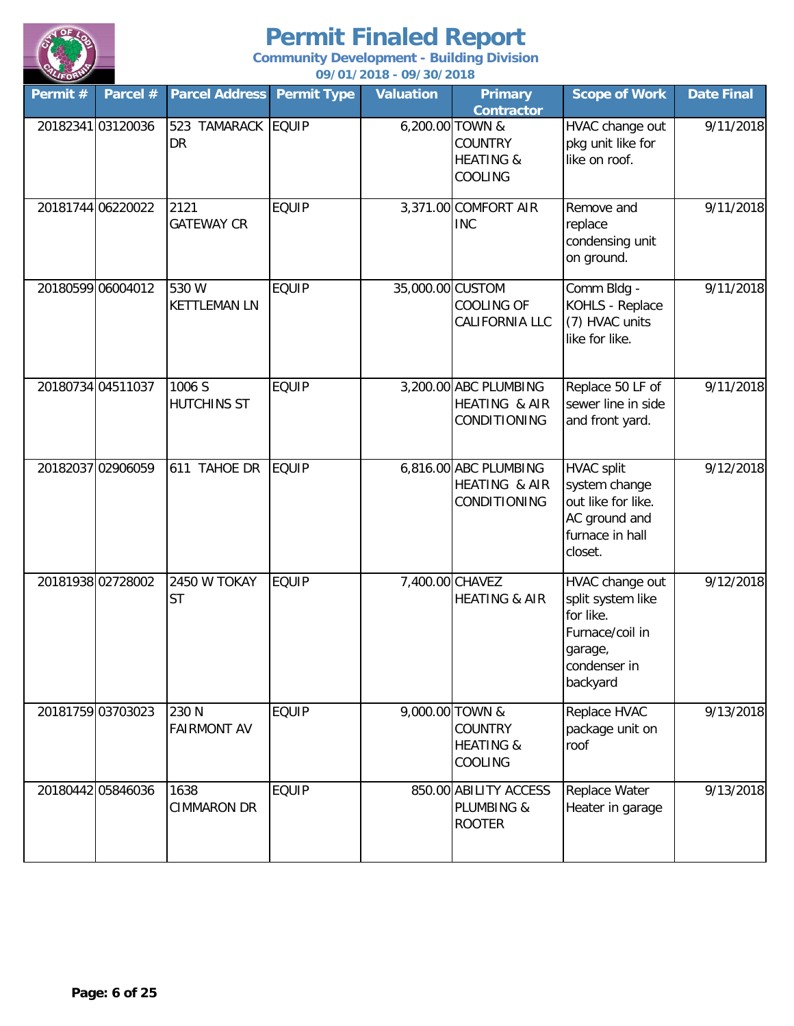

| Permit # | Parcel #          | <b>Parcel Address</b>           | <b>Permit Type</b> | <b>Valuation</b> | <b>Primary</b><br><b>Contractor</b>                                         | <b>Scope of Work</b>                                                                                        | <b>Date Final</b> |
|----------|-------------------|---------------------------------|--------------------|------------------|-----------------------------------------------------------------------------|-------------------------------------------------------------------------------------------------------------|-------------------|
|          | 20182341 03120036 | 523 TAMARACK EQUIP<br><b>DR</b> |                    |                  | 6,200.00 TOWN &<br><b>COUNTRY</b><br><b>HEATING &amp;</b><br>COOLING        | HVAC change out<br>pkg unit like for<br>like on roof.                                                       | 9/11/2018         |
|          | 20181744 06220022 | 2121<br><b>GATEWAY CR</b>       | <b>EQUIP</b>       |                  | 3,371.00 COMFORT AIR<br><b>INC</b>                                          | Remove and<br>replace<br>condensing unit<br>on ground.                                                      | 9/11/2018         |
|          | 20180599 06004012 | 530 W<br><b>KETTLEMAN LN</b>    | <b>EQUIP</b>       | 35,000.00 CUSTOM | <b>COOLING OF</b><br>CALIFORNIA LLC                                         | Comm Bldg -<br>KOHLS - Replace<br>(7) HVAC units<br>like for like.                                          | 9/11/2018         |
|          | 20180734 04511037 | 1006S<br><b>HUTCHINS ST</b>     | <b>EQUIP</b>       |                  | 3,200.00 ABC PLUMBING<br>HEATING & AIR<br>CONDITIONING                      | Replace 50 LF of<br>sewer line in side<br>and front yard.                                                   | 9/11/2018         |
|          | 20182037 02906059 | 611 TAHOE DR                    | <b>EQUIP</b>       |                  | 6,816.00 ABC PLUMBING<br>HEATING & AIR<br>CONDITIONING                      | <b>HVAC split</b><br>system change<br>out like for like.<br>AC ground and<br>furnace in hall<br>closet.     | 9/12/2018         |
|          | 20181938 02728002 | 2450 W TOKAY<br><b>ST</b>       | <b>EQUIP</b>       | 7,400.00 CHAVEZ  | <b>HEATING &amp; AIR</b>                                                    | HVAC change out<br>split system like<br>for like.<br>Furnace/coil in<br>garage,<br>condenser in<br>backyard | 9/12/2018         |
|          | 20181759 03703023 | 230 N<br><b>FAIRMONT AV</b>     | <b>EQUIP</b>       |                  | 9,000.00 TOWN &<br><b>COUNTRY</b><br><b>HEATING &amp;</b><br><b>COOLING</b> | Replace HVAC<br>package unit on<br>roof                                                                     | 9/13/2018         |
|          | 20180442 05846036 | 1638<br><b>CIMMARON DR</b>      | <b>EQUIP</b>       |                  | 850.00 ABILITY ACCESS<br>PLUMBING &<br><b>ROOTER</b>                        | Replace Water<br>Heater in garage                                                                           | 9/13/2018         |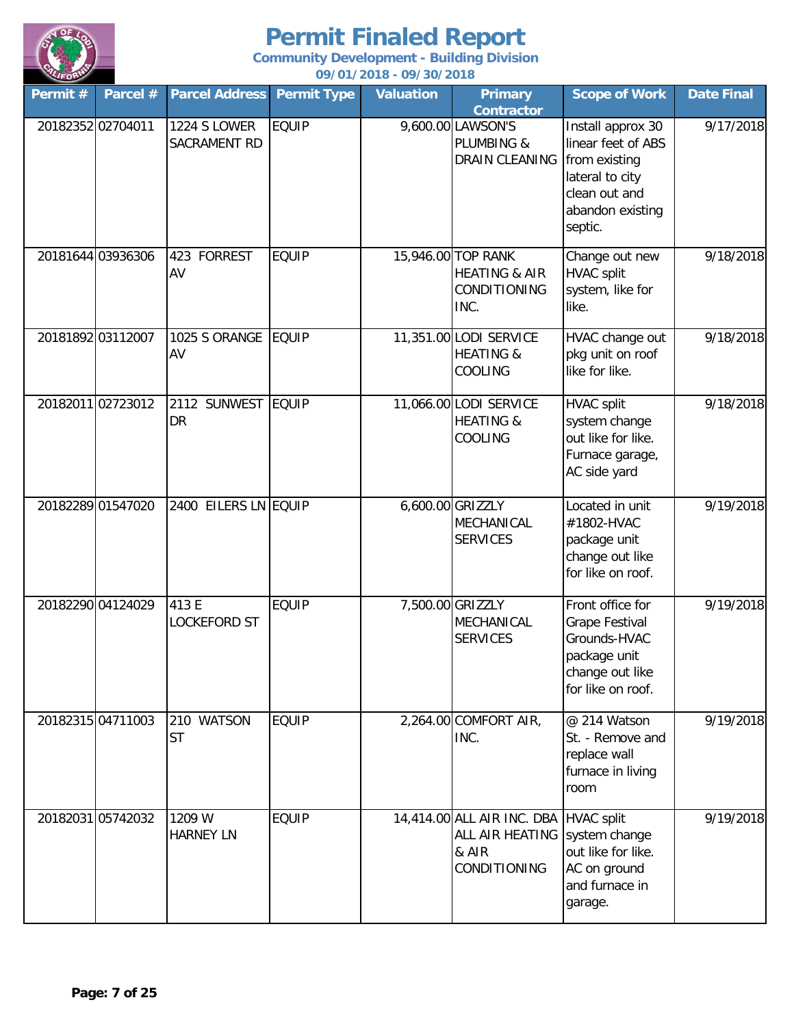

| Permit $#$        | Parcel #          | <b>Parcel Address</b>               | <b>Permit Type</b> | <b>Valuation</b> | <b>Primary</b><br><b>Contractor</b>                                               | <b>Scope of Work</b>                                                                                                        | <b>Date Final</b> |
|-------------------|-------------------|-------------------------------------|--------------------|------------------|-----------------------------------------------------------------------------------|-----------------------------------------------------------------------------------------------------------------------------|-------------------|
| 20182352 02704011 |                   | <b>1224 S LOWER</b><br>SACRAMENT RD | <b>EQUIP</b>       |                  | 9,600.00 LAWSON'S<br>PLUMBING &<br>DRAIN CLEANING                                 | Install approx 30<br>linear feet of ABS<br>from existing<br>lateral to city<br>clean out and<br>abandon existing<br>septic. | 9/17/2018         |
| 20181644 03936306 |                   | 423 FORREST<br>AV                   | <b>EQUIP</b>       |                  | 15,946.00 TOP RANK<br><b>HEATING &amp; AIR</b><br>CONDITIONING<br>INC.            | Change out new<br><b>HVAC split</b><br>system, like for<br>like.                                                            | 9/18/2018         |
| 20181892 03112007 |                   | 1025 S ORANGE<br>AV                 | <b>EQUIP</b>       |                  | 11,351.00 LODI SERVICE<br><b>HEATING &amp;</b><br>COOLING                         | HVAC change out<br>pkg unit on roof<br>like for like.                                                                       | 9/18/2018         |
| 20182011 02723012 |                   | 2112 SUNWEST<br>DR                  | <b>EQUIP</b>       |                  | 11,066.00 LODI SERVICE<br><b>HEATING &amp;</b><br>COOLING                         | <b>HVAC split</b><br>system change<br>out like for like.<br>Furnace garage,<br>AC side yard                                 | 9/18/2018         |
|                   | 20182289 01547020 | 2400 EILERS LN EQUIP                |                    |                  | 6,600.00 GRIZZLY<br>MECHANICAL<br><b>SERVICES</b>                                 | Located in unit<br>#1802-HVAC<br>package unit<br>change out like<br>for like on roof.                                       | 9/19/2018         |
| 20182290 04124029 |                   | 413 E<br><b>LOCKEFORD ST</b>        | <b>EQUIP</b>       |                  | 7,500.00 GRIZZLY<br>MECHANICAL<br><b>SERVICES</b>                                 | Front office for<br><b>Grape Festival</b><br>Grounds-HVAC<br>package unit<br>change out like<br>for like on roof.           | 9/19/2018         |
|                   | 20182315 04711003 | 210 WATSON<br><b>ST</b>             | <b>EQUIP</b>       |                  | 2,264.00 COMFORT AIR,<br>INC.                                                     | @ 214 Watson<br>St. - Remove and<br>replace wall<br>furnace in living<br>room                                               | 9/19/2018         |
| 20182031 05742032 |                   | 1209 W<br><b>HARNEY LN</b>          | <b>EQUIP</b>       |                  | 14,414.00 ALL AIR INC. DBA HVAC split<br>ALL AIR HEATING<br>& AIR<br>CONDITIONING | system change<br>out like for like.<br>AC on ground<br>and furnace in<br>garage.                                            | 9/19/2018         |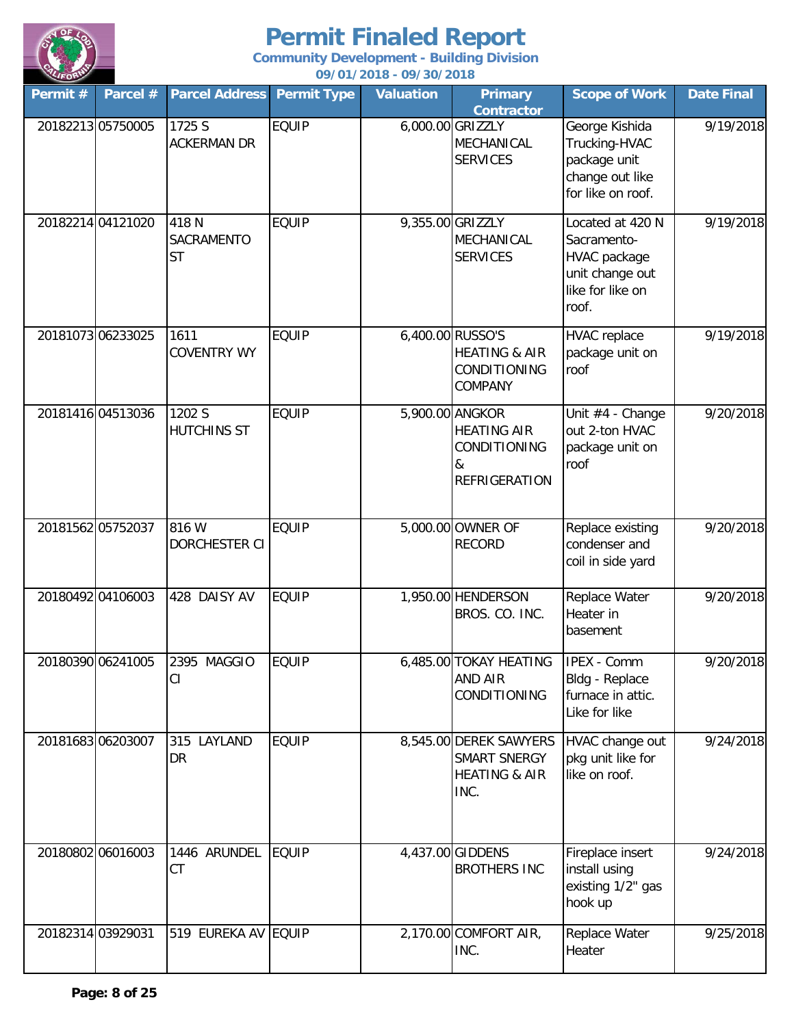

| Permit #          | Parcel #          | <b>Parcel Address</b>            | <b>Permit Type</b> | <b>Valuation</b> | <b>Primary</b><br><b>Contractor</b>                                                | <b>Scope of Work</b>                                                                                   | <b>Date Final</b> |
|-------------------|-------------------|----------------------------------|--------------------|------------------|------------------------------------------------------------------------------------|--------------------------------------------------------------------------------------------------------|-------------------|
|                   | 20182213 05750005 | 1725 S<br><b>ACKERMAN DR</b>     | <b>EQUIP</b>       |                  | 6,000.00 GRIZZLY<br>MECHANICAL<br><b>SERVICES</b>                                  | George Kishida<br>Trucking-HVAC<br>package unit<br>change out like<br>for like on roof.                | 9/19/2018         |
|                   | 20182214 04121020 | 418 N<br>SACRAMENTO<br><b>ST</b> | <b>EQUIP</b>       |                  | 9,355.00 GRIZZLY<br>MECHANICAL<br><b>SERVICES</b>                                  | Located at 420 N<br>Sacramento-<br><b>HVAC</b> package<br>unit change out<br>like for like on<br>roof. | 9/19/2018         |
|                   | 20181073 06233025 | 1611<br><b>COVENTRY WY</b>       | <b>EQUIP</b>       |                  | 6,400.00 RUSSO'S<br><b>HEATING &amp; AIR</b><br>CONDITIONING<br>COMPANY            | <b>HVAC</b> replace<br>package unit on<br>roof                                                         | 9/19/2018         |
|                   | 20181416 04513036 | 1202 S<br><b>HUTCHINS ST</b>     | <b>EQUIP</b>       |                  | 5,900.00 ANGKOR<br><b>HEATING AIR</b><br>CONDITIONING<br>&<br><b>REFRIGERATION</b> | Unit #4 - Change<br>out 2-ton HVAC<br>package unit on<br>roof                                          | 9/20/2018         |
| 20181562 05752037 |                   | 816 W<br>DORCHESTER CI           | <b>EQUIP</b>       |                  | 5,000.00 OWNER OF<br><b>RECORD</b>                                                 | Replace existing<br>condenser and<br>coil in side yard                                                 | 9/20/2018         |
|                   | 20180492 04106003 | 428 DAISY AV                     | <b>EQUIP</b>       |                  | 1,950.00 HENDERSON<br>BROS. CO. INC.                                               | Replace Water<br>Heater in<br>basement                                                                 | 9/20/2018         |
|                   | 20180390 06241005 | 2395 MAGGIO<br>CI                | <b>EQUIP</b>       |                  | 6,485.00 TOKAY HEATING<br><b>AND AIR</b><br>CONDITIONING                           | <b>IPEX - Comm</b><br>Bldg - Replace<br>furnace in attic.<br>Like for like                             | 9/20/2018         |
|                   | 2018168306203007  | 315 LAYLAND<br>DR                | <b>EQUIP</b>       |                  | 8,545.00 DEREK SAWYERS<br>SMART SNERGY<br><b>HEATING &amp; AIR</b><br>INC.         | HVAC change out<br>pkg unit like for<br>like on roof.                                                  | 9/24/2018         |
|                   | 20180802 06016003 | 1446 ARUNDEL<br>СT               | <b>EQUIP</b>       |                  | 4,437.00 GIDDENS<br><b>BROTHERS INC</b>                                            | Fireplace insert<br>install using<br>existing 1/2" gas<br>hook up                                      | 9/24/2018         |
|                   | 20182314 03929031 | 519 EUREKA AV EQUIP              |                    |                  | 2,170.00 COMFORT AIR,<br>INC.                                                      | Replace Water<br>Heater                                                                                | 9/25/2018         |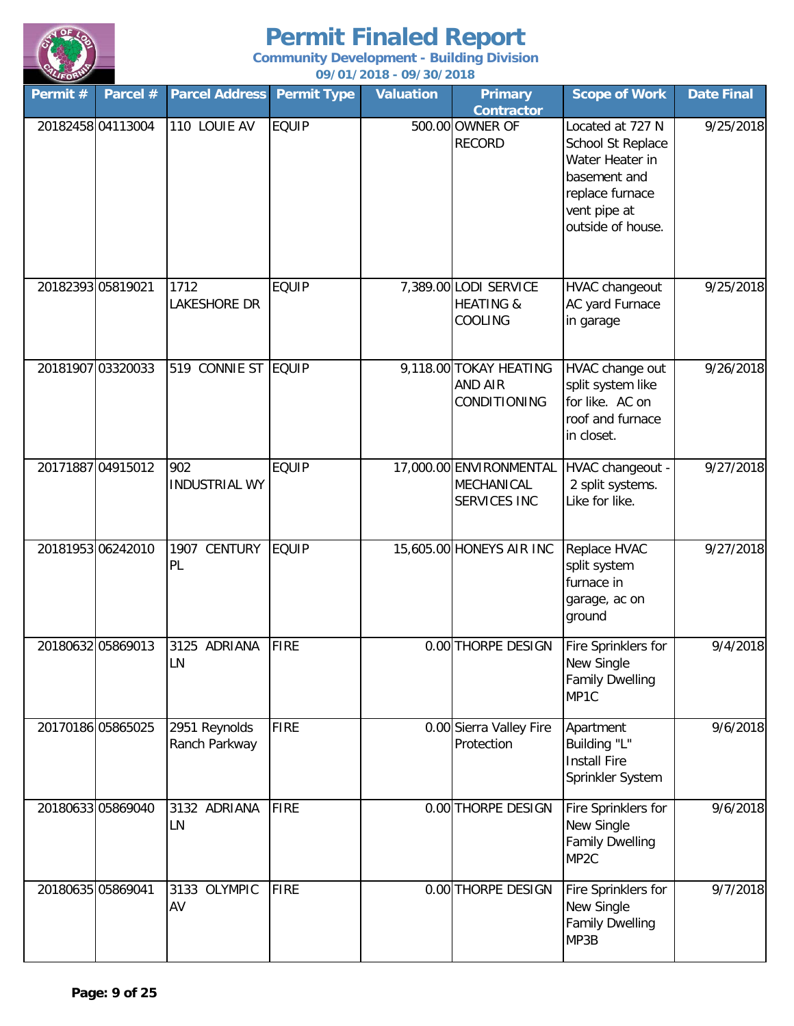

| Permit #          | Parcel # | <b>Parcel Address</b>          | <b>Permit Type</b> | <b>Valuation</b> | <b>Primary</b><br><b>Contractor</b>                             | <b>Scope of Work</b>                                                                                                             | <b>Date Final</b> |
|-------------------|----------|--------------------------------|--------------------|------------------|-----------------------------------------------------------------|----------------------------------------------------------------------------------------------------------------------------------|-------------------|
| 20182458 04113004 |          | 110 LOUIE AV                   | <b>EQUIP</b>       |                  | 500.00 OWNER OF<br><b>RECORD</b>                                | Located at 727 N<br>School St Replace<br>Water Heater in<br>basement and<br>replace furnace<br>vent pipe at<br>outside of house. | 9/25/2018         |
| 20182393 05819021 |          | 1712<br>LAKESHORE DR           | <b>EQUIP</b>       |                  | 7,389.00 LODI SERVICE<br><b>HEATING &amp;</b><br>COOLING        | HVAC changeout<br>AC yard Furnace<br>in garage                                                                                   | 9/25/2018         |
| 20181907 03320033 |          | 519 CONNIE ST EQUIP            |                    |                  | 9,118.00 TOKAY HEATING<br><b>AND AIR</b><br><b>CONDITIONING</b> | HVAC change out<br>split system like<br>for like. AC on<br>roof and furnace<br>in closet.                                        | 9/26/2018         |
| 20171887 04915012 |          | 902<br><b>INDUSTRIAL WY</b>    | <b>EQUIP</b>       |                  | 17,000.00 ENVIRONMENTAL<br>MECHANICAL<br>SERVICES INC           | HVAC changeout -<br>2 split systems.<br>Like for like.                                                                           | 9/27/2018         |
| 20181953 06242010 |          | CENTURY<br>1907<br>PL          | <b>EQUIP</b>       |                  | 15,605.00 HONEYS AIR INC                                        | Replace HVAC<br>split system<br>furnace in<br>garage, ac on<br>ground                                                            | 9/27/2018         |
| 20180632 05869013 |          | 3125 ADRIANA<br>LN             | <b>FIRE</b>        |                  | 0.00 THORPE DESIGN                                              | Fire Sprinklers for<br>New Single<br><b>Family Dwelling</b><br>MP1C                                                              | 9/4/2018          |
| 20170186 05865025 |          | 2951 Reynolds<br>Ranch Parkway | <b>FIRE</b>        |                  | 0.00 Sierra Valley Fire<br>Protection                           | Apartment<br>Building "L"<br><b>Install Fire</b><br>Sprinkler System                                                             | 9/6/2018          |
| 20180633 05869040 |          | 3132 ADRIANA<br>LN             | FIRE               |                  | 0.00 THORPE DESIGN                                              | Fire Sprinklers for<br>New Single<br><b>Family Dwelling</b><br>MP <sub>2C</sub>                                                  | 9/6/2018          |
| 20180635 05869041 |          | 3133 OLYMPIC<br>AV             | <b>FIRE</b>        |                  | 0.00 THORPE DESIGN                                              | Fire Sprinklers for<br>New Single<br><b>Family Dwelling</b><br>MP3B                                                              | 9/7/2018          |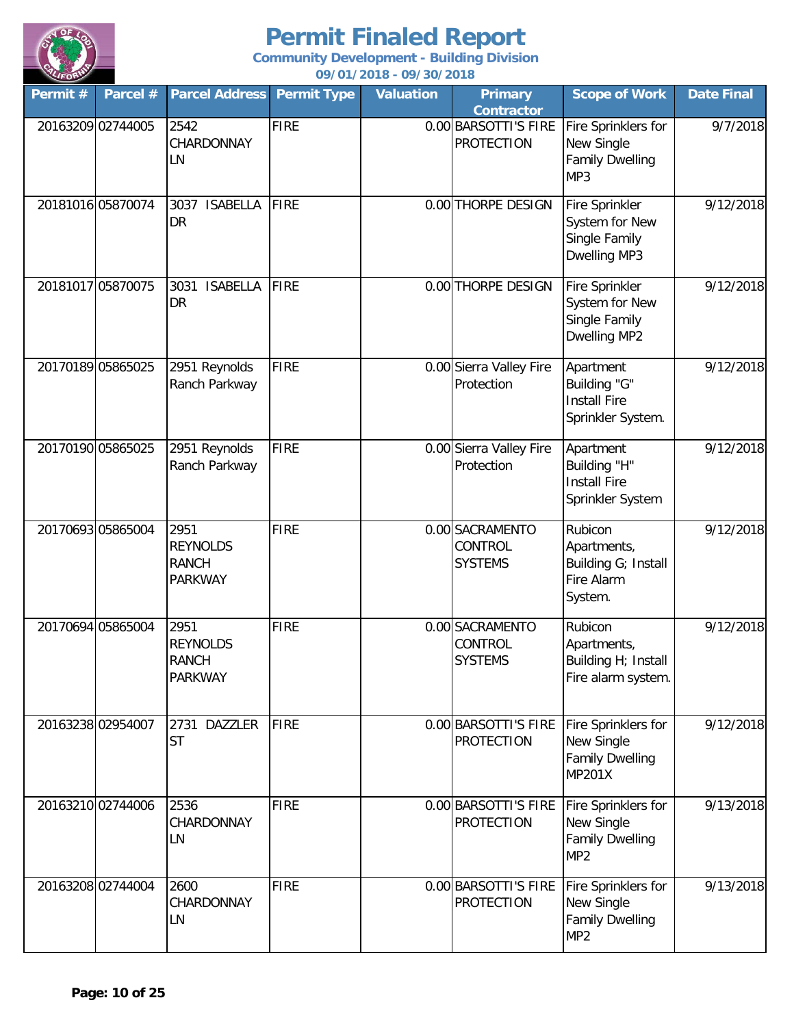

| Permit #          | Parcel #          | <b>Parcel Address</b>                                     | <b>Permit Type</b> | <b>Valuation</b> | <b>Primary</b><br><b>Contractor</b>          | <b>Scope of Work</b>                                                           | <b>Date Final</b> |
|-------------------|-------------------|-----------------------------------------------------------|--------------------|------------------|----------------------------------------------|--------------------------------------------------------------------------------|-------------------|
| 20163209 02744005 |                   | 2542<br>CHARDONNAY<br>LN                                  | <b>FIRE</b>        |                  | 0.00 BARSOTTI'S FIRE<br><b>PROTECTION</b>    | Fire Sprinklers for<br>New Single<br><b>Family Dwelling</b><br>MP3             | 9/7/2018          |
| 20181016 05870074 |                   | <b>ISABELLA</b><br>3037<br>DR                             | <b>FIRE</b>        |                  | 0.00 THORPE DESIGN                           | Fire Sprinkler<br>System for New<br>Single Family<br>Dwelling MP3              | 9/12/2018         |
|                   | 20181017 05870075 | <b>ISABELLA</b><br>3031<br>DR                             | <b>FIRE</b>        |                  | 0.00 THORPE DESIGN                           | Fire Sprinkler<br>System for New<br>Single Family<br>Dwelling MP2              | 9/12/2018         |
| 20170189 05865025 |                   | 2951 Reynolds<br>Ranch Parkway                            | <b>FIRE</b>        |                  | 0.00 Sierra Valley Fire<br>Protection        | Apartment<br>Building "G"<br><b>Install Fire</b><br>Sprinkler System.          | 9/12/2018         |
|                   | 20170190 05865025 | 2951 Reynolds<br>Ranch Parkway                            | <b>FIRE</b>        |                  | 0.00 Sierra Valley Fire<br>Protection        | Apartment<br>Building "H"<br><b>Install Fire</b><br>Sprinkler System           | 9/12/2018         |
| 20170693 05865004 |                   | 2951<br><b>REYNOLDS</b><br><b>RANCH</b><br><b>PARKWAY</b> | <b>FIRE</b>        |                  | 0.00 SACRAMENTO<br>CONTROL<br><b>SYSTEMS</b> | Rubicon<br>Apartments,<br>Building G; Install<br>Fire Alarm<br>System.         | 9/12/2018         |
| 20170694 05865004 |                   | 2951<br><b>REYNOLDS</b><br><b>RANCH</b><br><b>PARKWAY</b> | <b>FIRE</b>        |                  | 0.00 SACRAMENTO<br>CONTROL<br><b>SYSTEMS</b> | Rubicon<br>Apartments,<br>Building H; Install<br>Fire alarm system.            | 9/12/2018         |
| 20163238 02954007 |                   | 2731 DAZZLER<br><b>ST</b>                                 | <b>FIRE</b>        |                  | 0.00 BARSOTTI'S FIRE<br><b>PROTECTION</b>    | Fire Sprinklers for<br>New Single<br><b>Family Dwelling</b><br><b>MP201X</b>   | 9/12/2018         |
| 20163210 02744006 |                   | 2536<br>CHARDONNAY<br>LN                                  | <b>FIRE</b>        |                  | 0.00 BARSOTTI'S FIRE<br><b>PROTECTION</b>    | Fire Sprinklers for<br>New Single<br><b>Family Dwelling</b><br>MP <sub>2</sub> | 9/13/2018         |
|                   | 20163208 02744004 | 2600<br>CHARDONNAY<br>LN                                  | <b>FIRE</b>        |                  | 0.00 BARSOTTI'S FIRE<br><b>PROTECTION</b>    | Fire Sprinklers for<br>New Single<br><b>Family Dwelling</b><br>MP <sub>2</sub> | 9/13/2018         |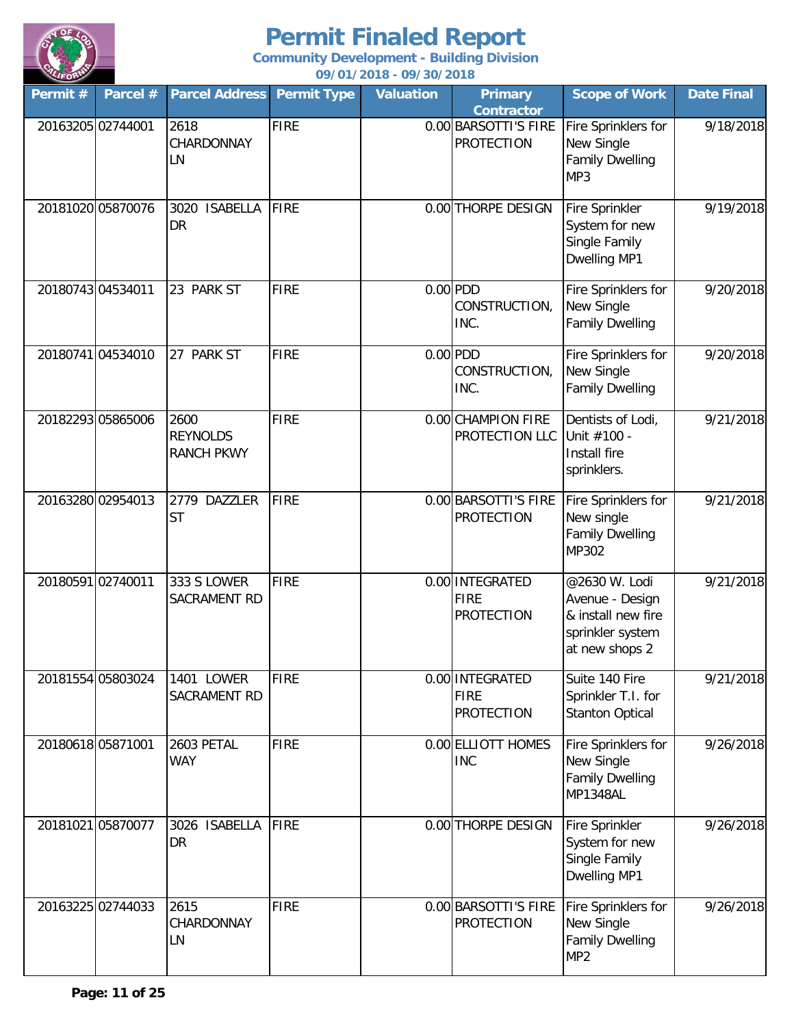

| Permit #          | Parcel #          | <b>Parcel Address</b>                        | <b>Permit Type</b> | <b>Valuation</b> | <b>Primary</b><br><b>Contractor</b>                 | <b>Scope of Work</b>                                                                         | <b>Date Final</b> |
|-------------------|-------------------|----------------------------------------------|--------------------|------------------|-----------------------------------------------------|----------------------------------------------------------------------------------------------|-------------------|
| 20163205 02744001 |                   | 2618<br>CHARDONNAY<br>LN                     | <b>FIRE</b>        |                  | 0.00 BARSOTTI'S FIRE<br><b>PROTECTION</b>           | Fire Sprinklers for<br>New Single<br><b>Family Dwelling</b><br>MP3                           | 9/18/2018         |
|                   | 20181020 05870076 | 3020<br><b>ISABELLA</b><br><b>DR</b>         | <b>FIRE</b>        |                  | 0.00 THORPE DESIGN                                  | Fire Sprinkler<br>System for new<br>Single Family<br>Dwelling MP1                            | 9/19/2018         |
| 20180743 04534011 |                   | 23 PARK ST                                   | <b>FIRE</b>        |                  | $0.00$ PDD<br>CONSTRUCTION,<br>INC.                 | Fire Sprinklers for<br>New Single<br><b>Family Dwelling</b>                                  | 9/20/2018         |
|                   | 20180741 04534010 | 27 PARK ST                                   | <b>FIRE</b>        |                  | $0.00$ PDD<br>CONSTRUCTION,<br>INC.                 | Fire Sprinklers for<br>New Single<br><b>Family Dwelling</b>                                  | 9/20/2018         |
|                   | 20182293 05865006 | 2600<br><b>REYNOLDS</b><br><b>RANCH PKWY</b> | <b>FIRE</b>        |                  | 0.00 CHAMPION FIRE<br>PROTECTION LLC                | Dentists of Lodi,<br>Unit #100 -<br>Install fire<br>sprinklers.                              | 9/21/2018         |
|                   | 20163280 02954013 | 2779 DAZZLER<br><b>ST</b>                    | <b>FIRE</b>        |                  | 0.00 BARSOTTI'S FIRE<br><b>PROTECTION</b>           | Fire Sprinklers for<br>New single<br><b>Family Dwelling</b><br>MP302                         | 9/21/2018         |
| 20180591 02740011 |                   | 333 S LOWER<br>SACRAMENT RD                  | <b>FIRE</b>        |                  | 0.00 INTEGRATED<br><b>FIRE</b><br><b>PROTECTION</b> | @2630 W. Lodi<br>Avenue - Design<br>& install new fire<br>sprinkler system<br>at new shops 2 | 9/21/2018         |
| 20181554 05803024 |                   | 1401 LOWER<br>SACRAMENT RD                   | <b>FIRE</b>        |                  | 0.00 INTEGRATED<br><b>FIRE</b><br><b>PROTECTION</b> | Suite 140 Fire<br>Sprinkler T.I. for<br><b>Stanton Optical</b>                               | 9/21/2018         |
| 20180618 05871001 |                   | 2603 PETAL<br><b>WAY</b>                     | <b>FIRE</b>        |                  | 0.00 ELLIOTT HOMES<br><b>INC</b>                    | Fire Sprinklers for<br>New Single<br><b>Family Dwelling</b><br>MP1348AL                      | 9/26/2018         |
|                   | 20181021 05870077 | 3026 ISABELLA<br>DR                          | FIRE               |                  | 0.00 THORPE DESIGN                                  | <b>Fire Sprinkler</b><br>System for new<br>Single Family<br>Dwelling MP1                     | 9/26/2018         |
|                   | 20163225 02744033 | 2615<br>CHARDONNAY<br>LN                     | <b>FIRE</b>        |                  | 0.00 BARSOTTI'S FIRE<br><b>PROTECTION</b>           | Fire Sprinklers for<br>New Single<br><b>Family Dwelling</b><br>MP <sub>2</sub>               | 9/26/2018         |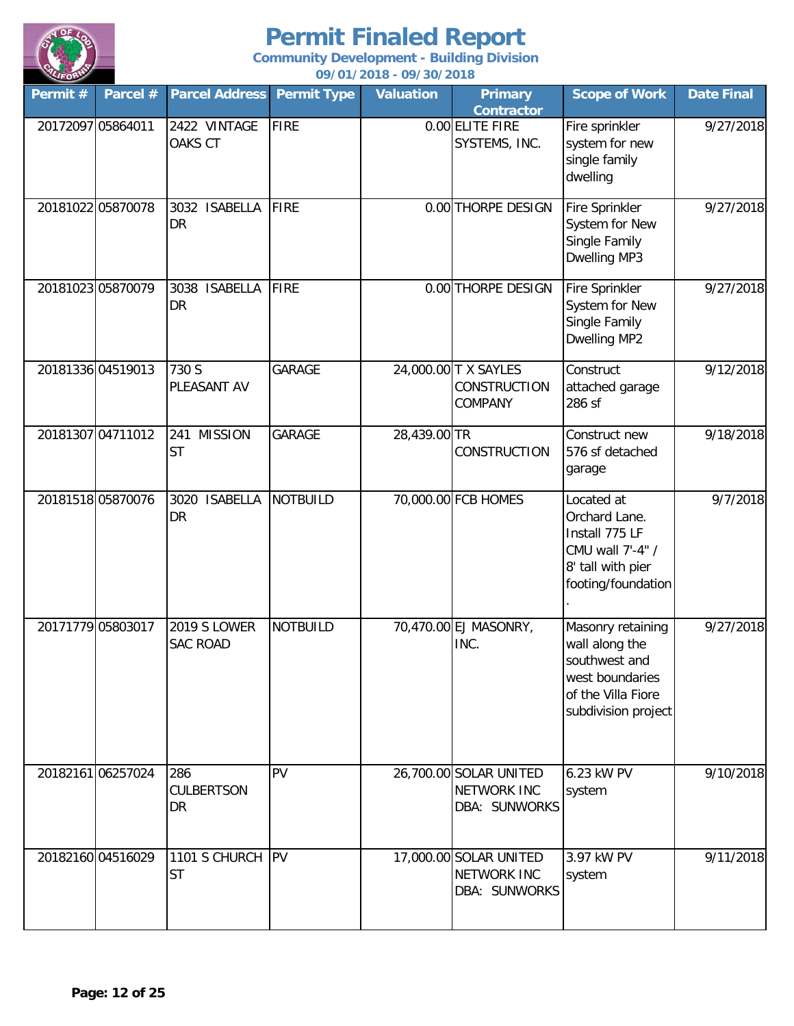

| $\sim$<br>Permit # | Parcel #          | <b>Parcel Address</b>                  | <b>Permit Type</b> | <b>Valuation</b> | <b>Primary</b><br><b>Contractor</b>                           | <b>Scope of Work</b>                                                                                                 | <b>Date Final</b> |
|--------------------|-------------------|----------------------------------------|--------------------|------------------|---------------------------------------------------------------|----------------------------------------------------------------------------------------------------------------------|-------------------|
| 20172097 05864011  |                   | 2422 VINTAGE<br>OAKS CT                | <b>FIRE</b>        |                  | 0.00 ELITE FIRE<br>SYSTEMS, INC.                              | Fire sprinkler<br>system for new<br>single family<br>dwelling                                                        | 9/27/2018         |
|                    | 20181022 05870078 | 3032 ISABELLA<br><b>DR</b>             | <b>FIRE</b>        |                  | 0.00 THORPE DESIGN                                            | Fire Sprinkler<br>System for New<br>Single Family<br>Dwelling MP3                                                    | 9/27/2018         |
|                    | 20181023 05870079 | 3038 ISABELLA<br>DR                    | <b>FIRE</b>        |                  | 0.00 THORPE DESIGN                                            | Fire Sprinkler<br>System for New<br>Single Family<br>Dwelling MP2                                                    | 9/27/2018         |
|                    | 20181336 04519013 | 730 S<br>PLEASANT AV                   | GARAGE             |                  | 24,000.00 T X SAYLES<br><b>CONSTRUCTION</b><br>COMPANY        | Construct<br>attached garage<br>286 sf                                                                               | 9/12/2018         |
|                    | 20181307 04711012 | <b>MISSION</b><br>241<br><b>ST</b>     | GARAGE             | 28,439.00 TR     | <b>CONSTRUCTION</b>                                           | Construct new<br>576 sf detached<br>garage                                                                           | 9/18/2018         |
|                    | 20181518 05870076 | 3020 ISABELLA<br><b>DR</b>             | <b>NOTBUILD</b>    |                  | 70,000.00 FCB HOMES                                           | Located at<br>Orchard Lane.<br>Install 775 LF<br>CMU wall 7'-4" /<br>8' tall with pier<br>footing/foundation         | 9/7/2018          |
|                    | 20171779 05803017 | <b>2019 S LOWER</b><br><b>SAC ROAD</b> | <b>NOTBUILD</b>    |                  | 70,470.00 EJ MASONRY,<br>INC.                                 | Masonry retaining<br>wall along the<br>southwest and<br>west boundaries<br>of the Villa Fiore<br>subdivision project | 9/27/2018         |
|                    | 20182161 06257024 | 286<br><b>CULBERTSON</b><br><b>DR</b>  | PV                 |                  | 26,700.00 SOLAR UNITED<br><b>NETWORK INC</b><br>DBA: SUNWORKS | 6.23 kW PV<br>system                                                                                                 | 9/10/2018         |
|                    | 20182160 04516029 | 1101 S CHURCH<br><b>ST</b>             | <b>PV</b>          |                  | 17,000.00 SOLAR UNITED<br><b>NETWORK INC</b><br>DBA: SUNWORKS | 3.97 kW PV<br>system                                                                                                 | 9/11/2018         |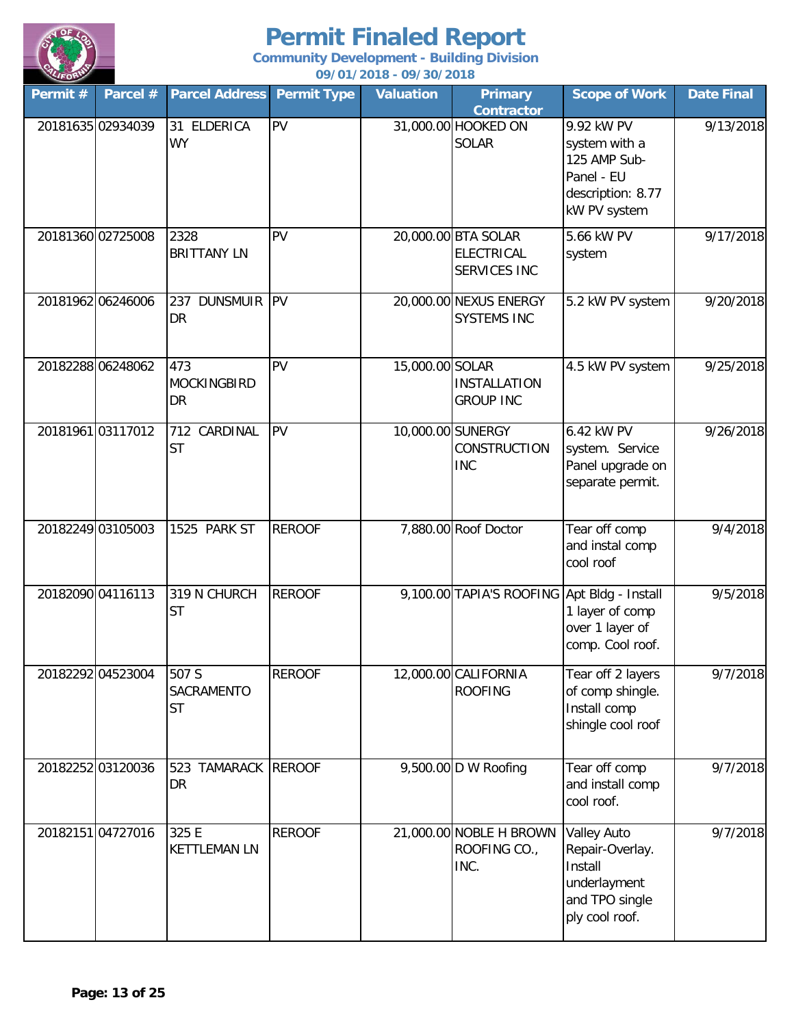

| Permit #          | Parcel #          | <b>Parcel Address</b>            | <b>Permit Type</b> | <b>Valuation</b> | <b>Primary</b><br><b>Contractor</b>                      | <b>Scope of Work</b>                                                                           | <b>Date Final</b> |
|-------------------|-------------------|----------------------------------|--------------------|------------------|----------------------------------------------------------|------------------------------------------------------------------------------------------------|-------------------|
| 20181635 02934039 |                   | 31 ELDERICA<br><b>WY</b>         | PV                 |                  | 31,000.00 HOOKED ON<br><b>SOLAR</b>                      | 9.92 kW PV<br>system with a<br>125 AMP Sub-<br>Panel - EU<br>description: 8.77<br>kW PV system | 9/13/2018         |
| 20181360 02725008 |                   | 2328<br><b>BRITTANY LN</b>       | PV                 |                  | 20,000.00 BTA SOLAR<br><b>ELECTRICAL</b><br>SERVICES INC | 5.66 kW PV<br>system                                                                           | 9/17/2018         |
|                   | 20181962 06246006 | <b>DUNSMUIR</b><br>237<br>DR     | <b>IPV</b>         |                  | 20,000.00 NEXUS ENERGY<br><b>SYSTEMS INC</b>             | 5.2 kW PV system                                                                               | 9/20/2018         |
|                   | 20182288 06248062 | 473<br><b>MOCKINGBIRD</b><br>DR  | PV                 | 15,000.00 SOLAR  | <b>INSTALLATION</b><br><b>GROUP INC</b>                  | 4.5 kW PV system                                                                               | 9/25/2018         |
| 20181961 03117012 |                   | 712 CARDINAL<br><b>ST</b>        | <b>PV</b>          |                  | 10,000.00 SUNERGY<br>CONSTRUCTION<br><b>INC</b>          | 6.42 kW PV<br>system. Service<br>Panel upgrade on<br>separate permit.                          | 9/26/2018         |
| 20182249 03105003 |                   | 1525 PARK ST                     | <b>REROOF</b>      |                  | 7,880.00 Roof Doctor                                     | Tear off comp<br>and instal comp<br>cool roof                                                  | 9/4/2018          |
|                   | 20182090 04116113 | 319 N CHURCH<br><b>ST</b>        | <b>REROOF</b>      |                  | 9,100.00 TAPIA'S ROOFING Apt Bldg - Install              | 1 layer of comp<br>over 1 layer of<br>comp. Cool roof.                                         | 9/5/2018          |
|                   | 20182292 04523004 | 507 S<br>SACRAMENTO<br><b>ST</b> | <b>REROOF</b>      |                  | 12,000.00 CALIFORNIA<br><b>ROOFING</b>                   | Tear off 2 layers<br>of comp shingle.<br>Install comp<br>shingle cool roof                     | 9/7/2018          |
|                   | 20182252 03120036 | 523 TAMARACK<br>DR               | <b>REROOF</b>      |                  | 9,500.00 D W Roofing                                     | Tear off comp<br>and install comp<br>cool roof.                                                | 9/7/2018          |
| 20182151 04727016 |                   | 325 E<br><b>KETTLEMAN LN</b>     | <b>REROOF</b>      |                  | 21,000.00 NOBLE H BROWN<br>ROOFING CO.,<br>INC.          | Valley Auto<br>Repair-Overlay.<br>Install<br>underlayment<br>and TPO single<br>ply cool roof.  | 9/7/2018          |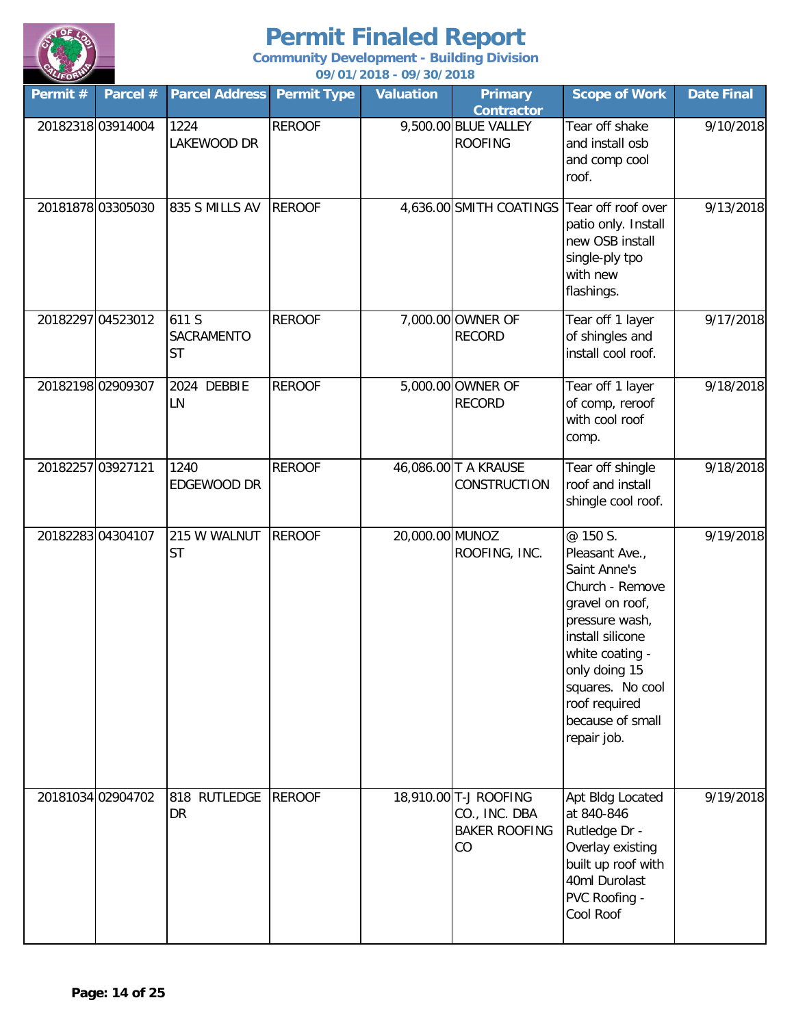

| $\sim$<br>Permit # | Parcel $#$        | <b>Parcel Address Permit Type</b> |               | <u>077 017 2010 - 077 307 2010</u><br><b>Valuation</b> | <b>Primary</b><br><b>Contractor</b>                                  | <b>Scope of Work</b>                                                                                                                                                                                                               | <b>Date Final</b> |
|--------------------|-------------------|-----------------------------------|---------------|--------------------------------------------------------|----------------------------------------------------------------------|------------------------------------------------------------------------------------------------------------------------------------------------------------------------------------------------------------------------------------|-------------------|
| 20182318 03914004  |                   | 1224<br>LAKEWOOD DR               | <b>REROOF</b> |                                                        | 9,500.00 BLUE VALLEY<br><b>ROOFING</b>                               | Tear off shake<br>and install osb<br>and comp cool<br>roof.                                                                                                                                                                        | 9/10/2018         |
|                    | 20181878 03305030 | 835 S MILLS AV                    | <b>REROOF</b> |                                                        | 4,636.00 SMITH COATINGS Tear off roof over                           | patio only. Install<br>new OSB install<br>single-ply tpo<br>with new<br>flashings.                                                                                                                                                 | 9/13/2018         |
|                    | 20182297 04523012 | 611 S<br>SACRAMENTO<br><b>ST</b>  | <b>REROOF</b> |                                                        | 7,000.00 OWNER OF<br><b>RECORD</b>                                   | Tear off 1 layer<br>of shingles and<br>install cool roof.                                                                                                                                                                          | 9/17/2018         |
|                    | 20182198 02909307 | 2024 DEBBIE<br>LN                 | <b>REROOF</b> |                                                        | 5,000.00 OWNER OF<br><b>RECORD</b>                                   | Tear off 1 layer<br>of comp, reroof<br>with cool roof<br>comp.                                                                                                                                                                     | 9/18/2018         |
| 20182257 03927121  |                   | 1240<br>EDGEWOOD DR               | <b>REROOF</b> |                                                        | 46,086.00 T A KRAUSE<br>CONSTRUCTION                                 | Tear off shingle<br>roof and install<br>shingle cool roof.                                                                                                                                                                         | 9/18/2018         |
|                    | 20182283 04304107 | 215 W WALNUT<br><b>ST</b>         | <b>REROOF</b> | 20,000.00 MUNOZ                                        | ROOFING, INC.                                                        | @ 150 S.<br>Pleasant Ave.,<br>Saint Anne's<br>Church - Remove<br>gravel on roof,<br>pressure wash,<br>install silicone<br>white coating -<br>only doing 15<br>squares. No cool<br>roof required<br>because of small<br>repair job. | 9/19/2018         |
|                    | 20181034 02904702 | 818 RUTLEDGE<br>DR                | <b>REROOF</b> |                                                        | 18,910.00 T-J ROOFING<br>CO., INC. DBA<br><b>BAKER ROOFING</b><br>CO | Apt Bldg Located<br>at 840-846<br>Rutledge Dr -<br>Overlay existing<br>built up roof with<br>40ml Durolast<br>PVC Roofing -<br>Cool Roof                                                                                           | 9/19/2018         |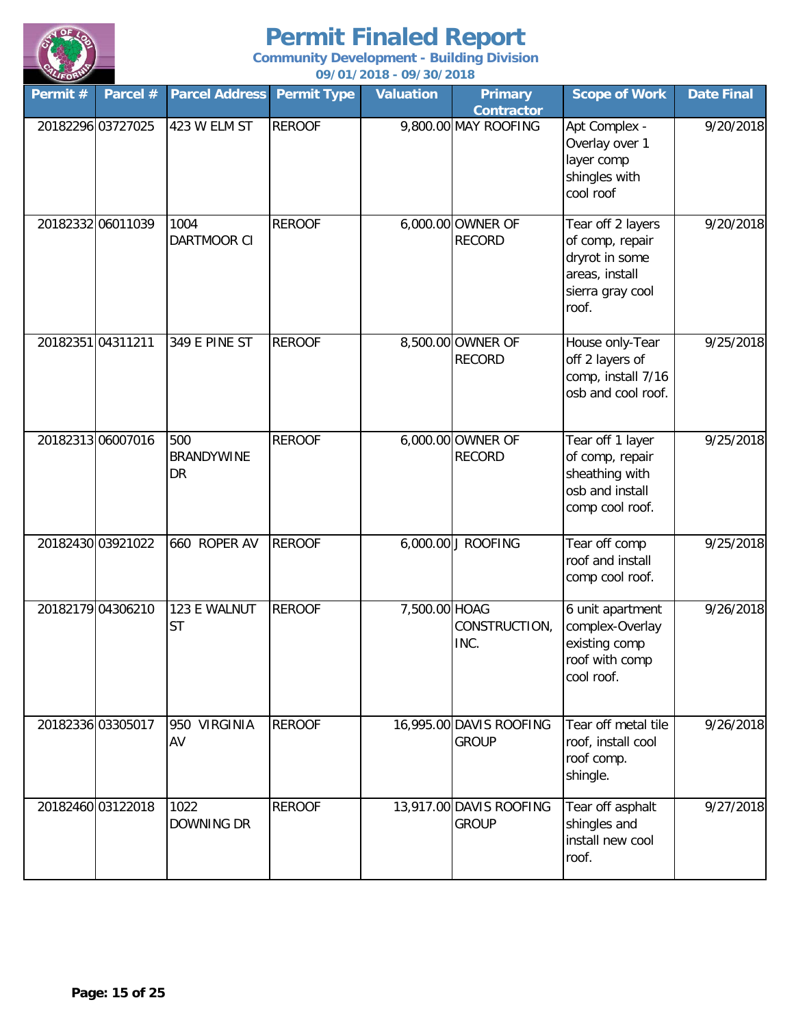

| Permit #          | Parcel #          | <b>Parcel Address</b>          | <b>Permit Type</b> | <b>Valuation</b> | <b>Primary</b><br><b>Contractor</b>     | <b>Scope of Work</b>                                                                                  | <b>Date Final</b> |
|-------------------|-------------------|--------------------------------|--------------------|------------------|-----------------------------------------|-------------------------------------------------------------------------------------------------------|-------------------|
|                   | 20182296 03727025 | 423 W ELM ST                   | <b>REROOF</b>      |                  | 9,800.00 MAY ROOFING                    | Apt Complex -<br>Overlay over 1<br>layer comp<br>shingles with<br>cool roof                           | 9/20/2018         |
|                   | 20182332 06011039 | 1004<br>DARTMOOR CI            | <b>REROOF</b>      |                  | 6,000.00 OWNER OF<br><b>RECORD</b>      | Tear off 2 layers<br>of comp, repair<br>dryrot in some<br>areas, install<br>sierra gray cool<br>roof. | 9/20/2018         |
| 20182351 04311211 |                   | 349 E PINE ST                  | <b>REROOF</b>      |                  | 8,500.00 OWNER OF<br><b>RECORD</b>      | House only-Tear<br>off 2 layers of<br>comp, install 7/16<br>osb and cool roof.                        | 9/25/2018         |
|                   | 20182313 06007016 | 500<br><b>BRANDYWINE</b><br>DR | <b>REROOF</b>      |                  | 6,000.00 OWNER OF<br><b>RECORD</b>      | Tear off 1 layer<br>of comp, repair<br>sheathing with<br>osb and install<br>comp cool roof.           | 9/25/2018         |
|                   | 20182430 03921022 | 660 ROPER AV                   | <b>REROOF</b>      |                  | 6,000.00 J ROOFING                      | Tear off comp<br>roof and install<br>comp cool roof.                                                  | 9/25/2018         |
|                   | 20182179 04306210 | 123 E WALNUT<br><b>ST</b>      | <b>REROOF</b>      | 7,500.00 HOAG    | CONSTRUCTION,<br>INC.                   | 6 unit apartment<br>complex-Overlay<br>existing comp<br>roof with comp<br>cool roof.                  | 9/26/2018         |
|                   | 20182336 03305017 | 950 VIRGINIA<br>AV             | <b>REROOF</b>      |                  | 16,995.00 DAVIS ROOFING<br><b>GROUP</b> | Tear off metal tile<br>roof, install cool<br>roof comp.<br>shingle.                                   | 9/26/2018         |
|                   | 20182460 03122018 | 1022<br><b>DOWNING DR</b>      | <b>REROOF</b>      |                  | 13,917.00 DAVIS ROOFING<br><b>GROUP</b> | Tear off asphalt<br>shingles and<br>install new cool<br>roof.                                         | 9/27/2018         |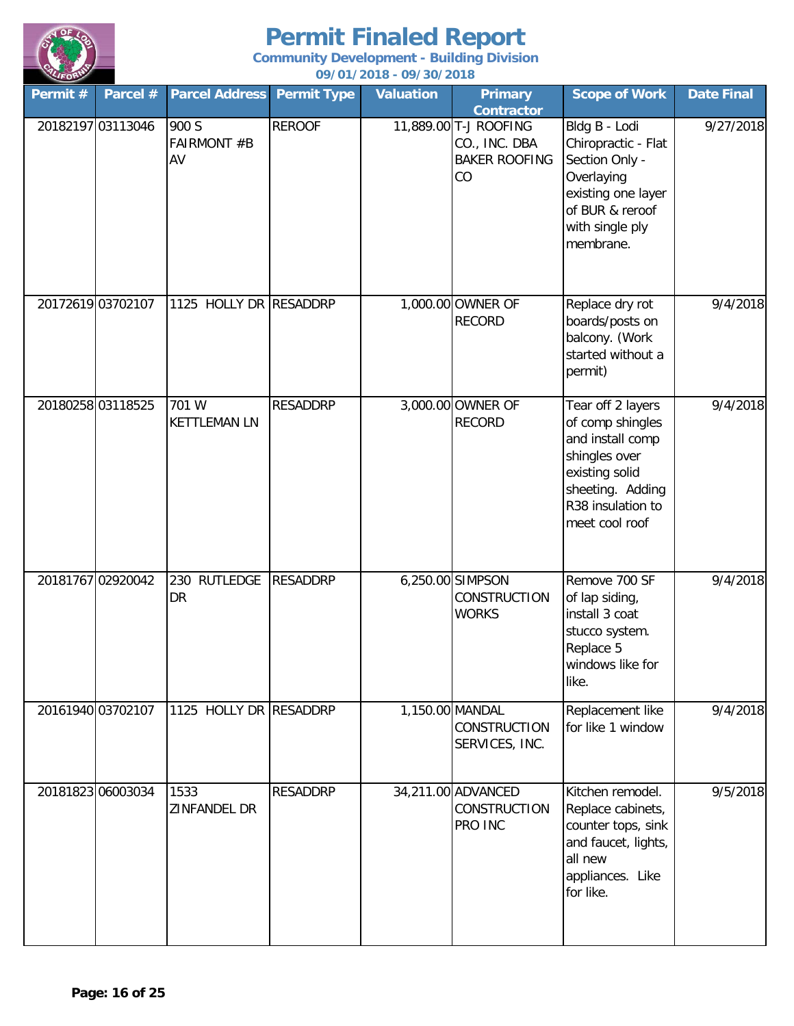

| Permit #          | Parcel # | <b>Parcel Address</b>             | <b>Permit Type</b> | <b>Valuation</b> | <b>Primary</b><br><b>Contractor</b>                                  | <b>Scope of Work</b>                                                                                                                                    | <b>Date Final</b> |
|-------------------|----------|-----------------------------------|--------------------|------------------|----------------------------------------------------------------------|---------------------------------------------------------------------------------------------------------------------------------------------------------|-------------------|
| 20182197 03113046 |          | 900 S<br><b>FAIRMONT #B</b><br>AV | <b>REROOF</b>      |                  | 11,889.00 T-J ROOFING<br>CO., INC. DBA<br><b>BAKER ROOFING</b><br>CO | Bldg B - Lodi<br>Chiropractic - Flat<br>Section Only -<br>Overlaying<br>existing one layer<br>of BUR & reroof<br>with single ply<br>membrane.           | 9/27/2018         |
| 20172619 03702107 |          | 1125 HOLLY DR RESADDRP            |                    |                  | 1,000.00 OWNER OF<br><b>RECORD</b>                                   | Replace dry rot<br>boards/posts on<br>balcony. (Work<br>started without a<br>permit)                                                                    | 9/4/2018          |
| 20180258 03118525 |          | 701 W<br><b>KETTLEMAN LN</b>      | <b>RESADDRP</b>    |                  | 3,000.00 OWNER OF<br><b>RECORD</b>                                   | Tear off 2 layers<br>of comp shingles<br>and install comp<br>shingles over<br>existing solid<br>sheeting. Adding<br>R38 insulation to<br>meet cool roof | 9/4/2018          |
| 20181767 02920042 |          | 230 RUTLEDGE<br>DR                | <b>RESADDRP</b>    |                  | 6,250.00 SIMPSON<br><b>CONSTRUCTION</b><br><b>WORKS</b>              | Remove 700 SF<br>of lap siding,<br>install 3 coat<br>stucco system.<br>Replace 5<br>windows like for<br>like.                                           | 9/4/2018          |
| 20161940 03702107 |          | 1125 HOLLY DR RESADDRP            |                    |                  | 1,150.00 MANDAL<br><b>CONSTRUCTION</b><br>SERVICES, INC.             | Replacement like<br>for like 1 window                                                                                                                   | 9/4/2018          |
| 20181823 06003034 |          | 1533<br>ZINFANDEL DR              | <b>RESADDRP</b>    |                  | 34,211.00 ADVANCED<br><b>CONSTRUCTION</b><br>PRO INC                 | Kitchen remodel.<br>Replace cabinets,<br>counter tops, sink<br>and faucet, lights,<br>all new<br>appliances. Like<br>for like.                          | 9/5/2018          |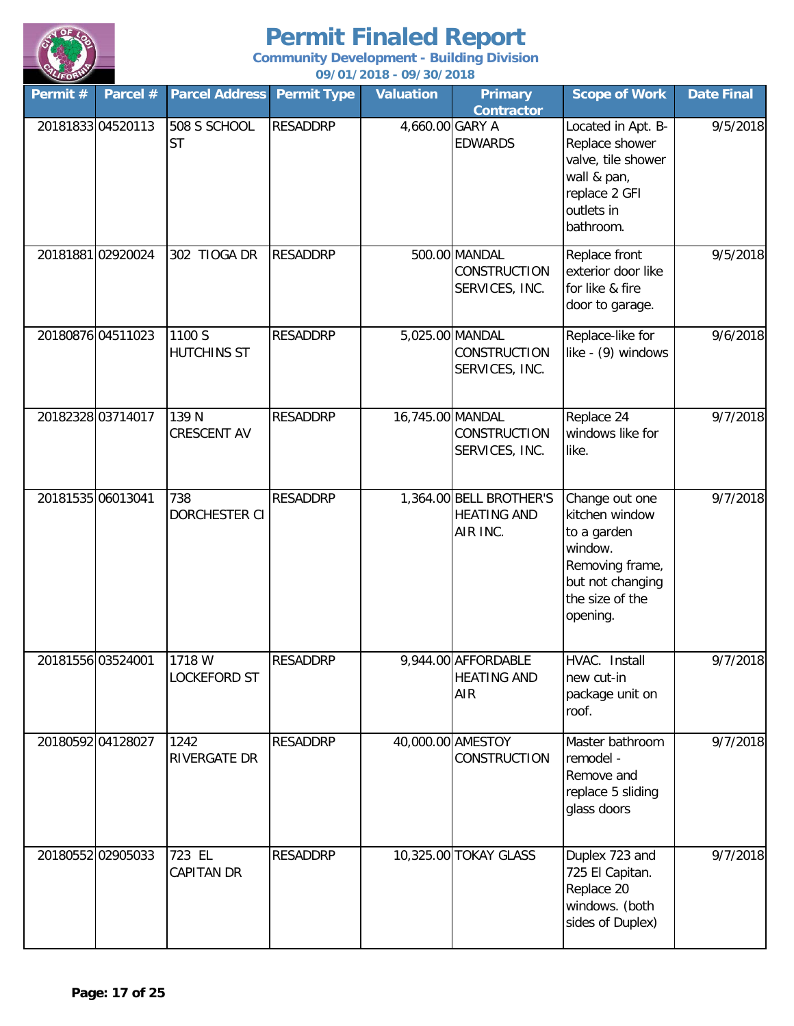

| Permit $#$        | Parcel #          | <b>Parcel Address</b>       | <b>Permit Type</b> | <b>Valuation</b> | <b>Primary</b><br><b>Contractor</b>                       | <b>Scope of Work</b>                                                                                                             | <b>Date Final</b> |
|-------------------|-------------------|-----------------------------|--------------------|------------------|-----------------------------------------------------------|----------------------------------------------------------------------------------------------------------------------------------|-------------------|
|                   | 2018183304520113  | 508 S SCHOOL<br><b>ST</b>   | <b>RESADDRP</b>    | 4,660.00 GARY A  | <b>EDWARDS</b>                                            | Located in Apt. B-<br>Replace shower<br>valve, tile shower<br>wall & pan,<br>replace 2 GFI<br>outlets in<br>bathroom.            | 9/5/2018          |
|                   | 20181881 02920024 | 302 TIOGA DR                | <b>RESADDRP</b>    |                  | 500.00 MANDAL<br>CONSTRUCTION<br>SERVICES, INC.           | Replace front<br>exterior door like<br>for like & fire<br>door to garage.                                                        | 9/5/2018          |
|                   | 20180876 04511023 | 1100 S<br>HUTCHINS ST       | <b>RESADDRP</b>    |                  | 5,025.00 MANDAL<br>CONSTRUCTION<br>SERVICES, INC.         | Replace-like for<br>like - (9) windows                                                                                           | 9/6/2018          |
|                   | 20182328 03714017 | 139 N<br>CRESCENT AV        | <b>RESADDRP</b>    | 16,745.00 MANDAL | CONSTRUCTION<br>SERVICES, INC.                            | Replace 24<br>windows like for<br>like.                                                                                          | 9/7/2018          |
| 20181535 06013041 |                   | 738<br>DORCHESTER CI        | <b>RESADDRP</b>    |                  | 1,364.00 BELL BROTHER'S<br><b>HEATING AND</b><br>AIR INC. | Change out one<br>kitchen window<br>to a garden<br>window.<br>Removing frame,<br>but not changing<br>the size of the<br>opening. | 9/7/2018          |
|                   | 20181556 03524001 | 1718 W<br>LOCKEFORD ST      | <b>RESADDRP</b>    |                  | 9,944.00 AFFORDABLE<br><b>HEATING AND</b><br>AIR          | HVAC. Install<br>new cut-in<br>package unit on<br>roof.                                                                          | 9/7/2018          |
|                   | 20180592 04128027 | 1242<br>RIVERGATE DR        | <b>RESADDRP</b>    |                  | 40,000.00 AMESTOY<br>CONSTRUCTION                         | Master bathroom<br>remodel -<br>Remove and<br>replace 5 sliding<br>glass doors                                                   | 9/7/2018          |
|                   | 20180552 02905033 | 723 EL<br><b>CAPITAN DR</b> | <b>RESADDRP</b>    |                  | 10,325.00 TOKAY GLASS                                     | Duplex 723 and<br>725 El Capitan.<br>Replace 20<br>windows. (both<br>sides of Duplex)                                            | 9/7/2018          |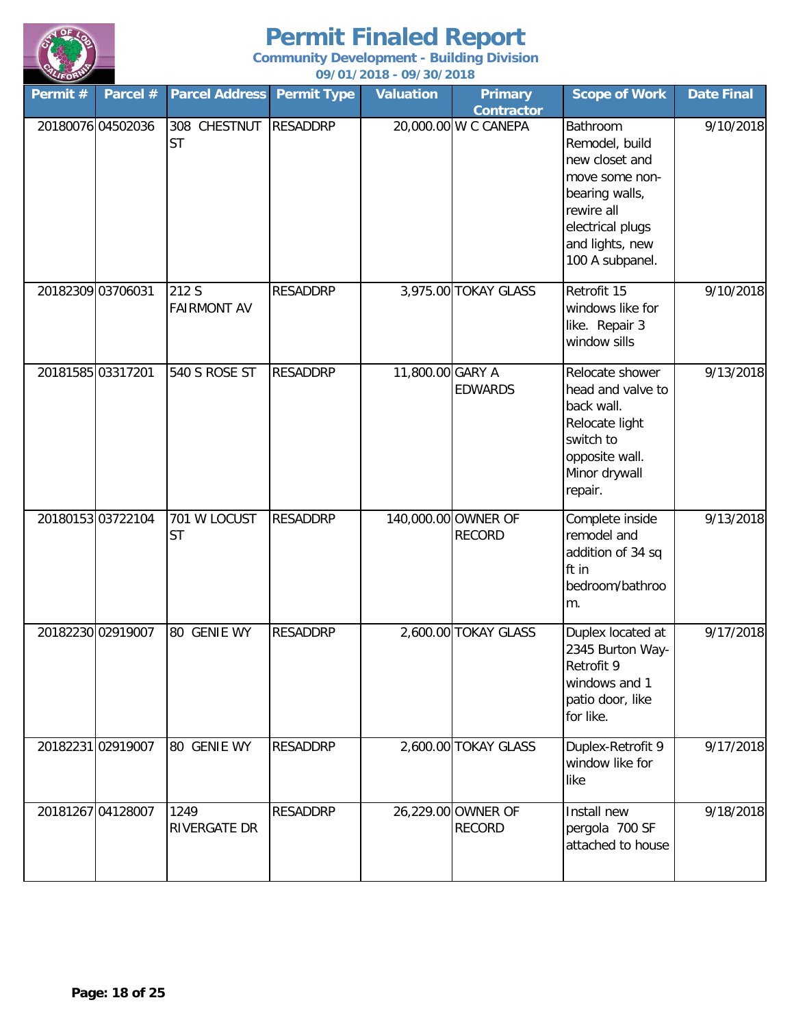

| Permit #          | Parcel # | <b>Parcel Address</b>       | <b>Permit Type</b> | <b>Valuation</b> | <b>Primary</b><br><b>Contractor</b>  | <b>Scope of Work</b>                                                                                                                                     | <b>Date Final</b> |
|-------------------|----------|-----------------------------|--------------------|------------------|--------------------------------------|----------------------------------------------------------------------------------------------------------------------------------------------------------|-------------------|
| 20180076 04502036 |          | 308 CHESTNUT<br><b>ST</b>   | <b>RESADDRP</b>    |                  | 20,000.00 W C CANEPA                 | Bathroom<br>Remodel, build<br>new closet and<br>move some non-<br>bearing walls,<br>rewire all<br>electrical plugs<br>and lights, new<br>100 A subpanel. | 9/10/2018         |
| 20182309 03706031 |          | 212 S<br><b>FAIRMONT AV</b> | <b>RESADDRP</b>    |                  | 3,975.00 TOKAY GLASS                 | Retrofit 15<br>windows like for<br>like. Repair 3<br>window sills                                                                                        | 9/10/2018         |
| 20181585 03317201 |          | 540 S ROSE ST               | <b>RESADDRP</b>    | 11,800.00 GARY A | <b>EDWARDS</b>                       | Relocate shower<br>head and valve to<br>back wall.<br>Relocate light<br>switch to<br>opposite wall.<br>Minor drywall<br>repair.                          | 9/13/2018         |
| 20180153 03722104 |          | 701 W LOCUST<br><b>ST</b>   | <b>RESADDRP</b>    |                  | 140,000.00 OWNER OF<br><b>RECORD</b> | Complete inside<br>remodel and<br>addition of 34 sq<br>ft in<br>bedroom/bathroo<br>m.                                                                    | 9/13/2018         |
| 20182230 02919007 |          | 80 GENIE WY                 | <b>RESADDRP</b>    |                  | 2,600.00 TOKAY GLASS                 | Duplex located at<br>2345 Burton Way-<br>Retrofit 9<br>windows and 1<br>patio door, like<br>for like.                                                    | 9/17/2018         |
| 20182231 02919007 |          | 80 GENIE WY                 | <b>RESADDRP</b>    |                  | 2,600.00 TOKAY GLASS                 | Duplex-Retrofit 9<br>window like for<br>like                                                                                                             | 9/17/2018         |
| 20181267 04128007 |          | 1249<br>RIVERGATE DR        | <b>RESADDRP</b>    |                  | 26,229.00 OWNER OF<br><b>RECORD</b>  | Install new<br>pergola 700 SF<br>attached to house                                                                                                       | 9/18/2018         |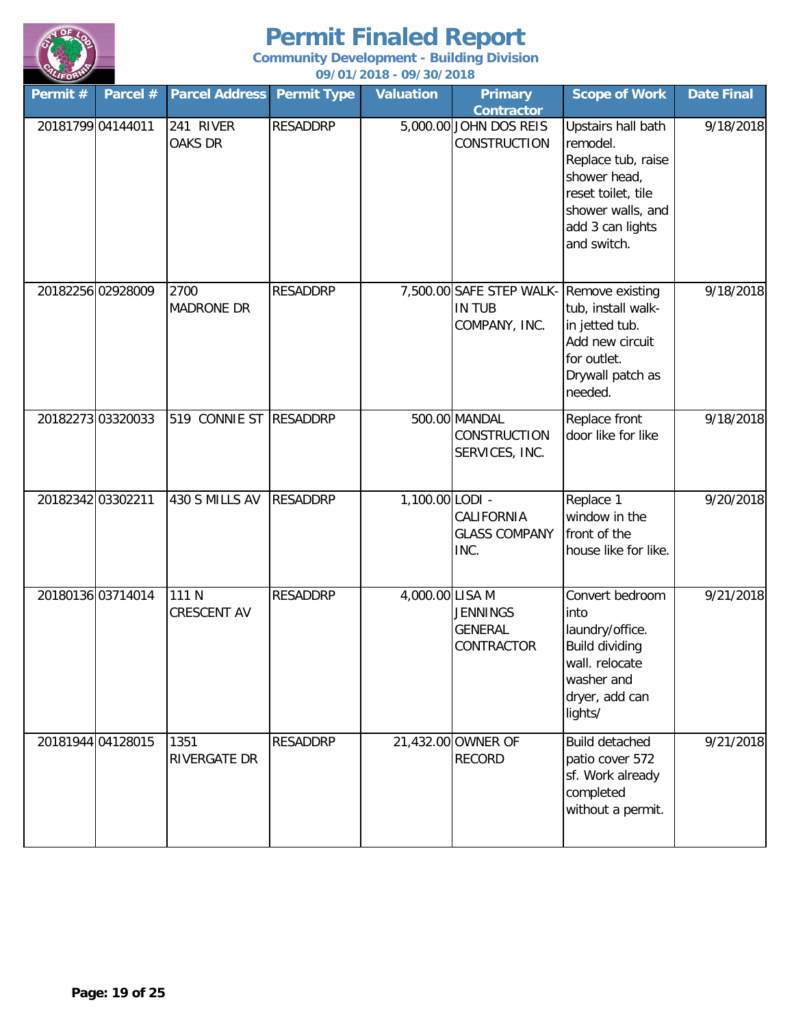

| Permit #          | Parcel # | <b>Parcel Address</b>       | <b>Permit Type</b> | <b>Valuation</b> | <b>Primary</b><br><b>Contractor</b>                                        | <b>Scope of Work</b>                                                                                                                               | <b>Date Final</b> |
|-------------------|----------|-----------------------------|--------------------|------------------|----------------------------------------------------------------------------|----------------------------------------------------------------------------------------------------------------------------------------------------|-------------------|
| 20181799 04144011 |          | 241 RIVER<br><b>OAKS DR</b> | <b>RESADDRP</b>    |                  | 5,000.00 JOHN DOS REIS<br><b>CONSTRUCTION</b>                              | Upstairs hall bath<br>remodel.<br>Replace tub, raise<br>shower head,<br>reset toilet, tile<br>shower walls, and<br>add 3 can lights<br>and switch. | 9/18/2018         |
| 20182256 02928009 |          | 2700<br><b>MADRONE DR</b>   | <b>RESADDRP</b>    |                  | 7,500.00 SAFE STEP WALK- Remove existing<br><b>IN TUB</b><br>COMPANY, INC. | tub, install walk-<br>in jetted tub.<br>Add new circuit<br>for outlet.<br>Drywall patch as<br>needed.                                              | 9/18/2018         |
| 20182273 03320033 |          | 519 CONNIE ST               | <b>RESADDRP</b>    |                  | 500.00 MANDAL<br>CONSTRUCTION<br>SERVICES, INC.                            | Replace front<br>door like for like                                                                                                                | 9/18/2018         |
| 20182342 03302211 |          | 430 S MILLS AV              | <b>RESADDRP</b>    | 1,100.00 LODI -  | CALIFORNIA<br><b>GLASS COMPANY</b><br>INC.                                 | Replace 1<br>window in the<br>front of the<br>house like for like.                                                                                 | 9/20/2018         |
| 20180136 03714014 |          | 111 N<br>CRESCENT AV        | <b>RESADDRP</b>    | 4,000.00 LISA M  | <b>JENNINGS</b><br><b>GENERAL</b><br>CONTRACTOR                            | Convert bedroom<br>into<br>laundry/office.<br><b>Build dividing</b><br>wall. relocate<br>washer and<br>dryer, add can<br>lights/                   | 9/21/2018         |
| 20181944 04128015 |          | 1351<br>RIVERGATE DR        | <b>RESADDRP</b>    |                  | 21,432.00 OWNER OF<br><b>RECORD</b>                                        | <b>Build detached</b><br>patio cover 572<br>sf. Work already<br>completed<br>without a permit.                                                     | 9/21/2018         |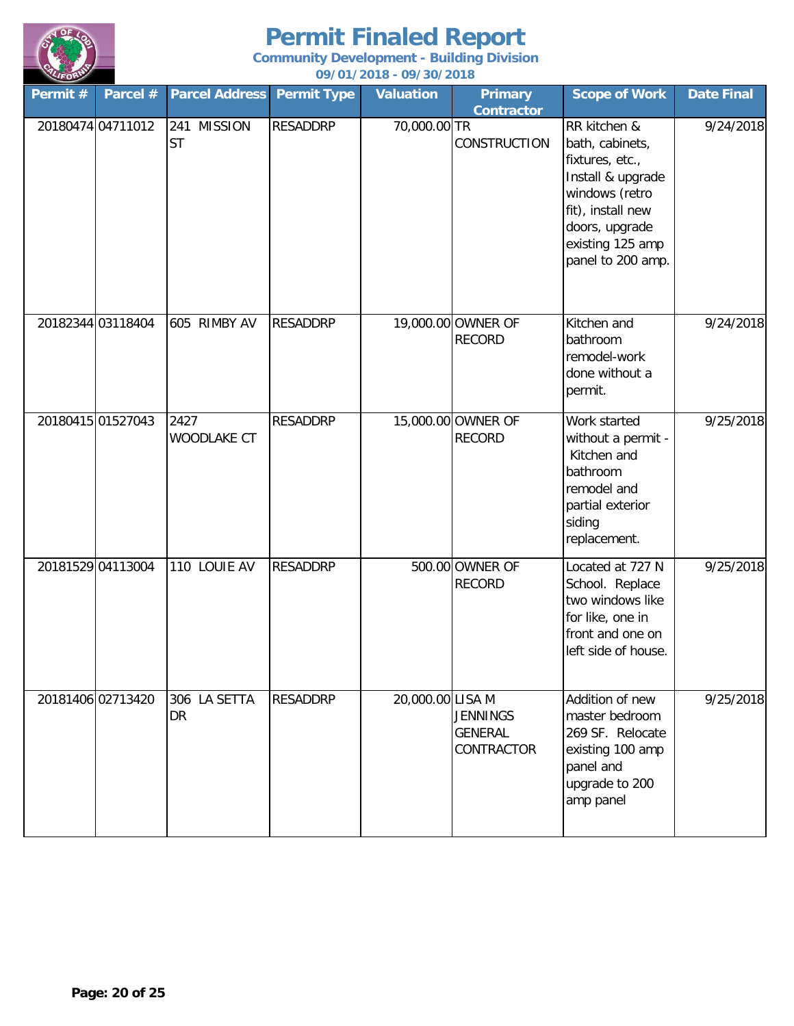

| Permit #          | Parcel # | <b>Parcel Address</b>    | <b>Permit Type</b> | <b>Valuation</b> | <b>Primary</b><br><b>Contractor</b>      | <b>Scope of Work</b>                                                                                                                                                      | <b>Date Final</b> |
|-------------------|----------|--------------------------|--------------------|------------------|------------------------------------------|---------------------------------------------------------------------------------------------------------------------------------------------------------------------------|-------------------|
| 20180474 04711012 |          | 241 MISSION<br><b>ST</b> | <b>RESADDRP</b>    | 70,000.00 TR     | <b>CONSTRUCTION</b>                      | RR kitchen &<br>bath, cabinets,<br>fixtures, etc.,<br>Install & upgrade<br>windows (retro<br>fit), install new<br>doors, upgrade<br>existing 125 amp<br>panel to 200 amp. | 9/24/2018         |
| 20182344 03118404 |          | 605 RIMBY AV             | <b>RESADDRP</b>    |                  | 19,000.00 OWNER OF<br><b>RECORD</b>      | Kitchen and<br>bathroom<br>remodel-work<br>done without a<br>permit.                                                                                                      | 9/24/2018         |
| 20180415 01527043 |          | 2427<br>WOODLAKE CT      | <b>RESADDRP</b>    |                  | 15,000.00 OWNER OF<br><b>RECORD</b>      | Work started<br>without a permit -<br>Kitchen and<br>bathroom<br>remodel and<br>partial exterior<br>siding<br>replacement.                                                | 9/25/2018         |
| 20181529 04113004 |          | 110 LOUIE AV             | <b>RESADDRP</b>    |                  | 500.00 OWNER OF<br><b>RECORD</b>         | Located at 727 N<br>School. Replace<br>two windows like<br>for like, one in<br>front and one on<br>left side of house.                                                    | 9/25/2018         |
| 20181406 02713420 |          | 306 LA SETTA<br>DR       | <b>RESADDRP</b>    | 20,000.00 LISA M | <b>JENNINGS</b><br>GENERAL<br>CONTRACTOR | Addition of new<br>master bedroom<br>269 SF. Relocate<br>existing 100 amp<br>panel and<br>upgrade to 200<br>amp panel                                                     | 9/25/2018         |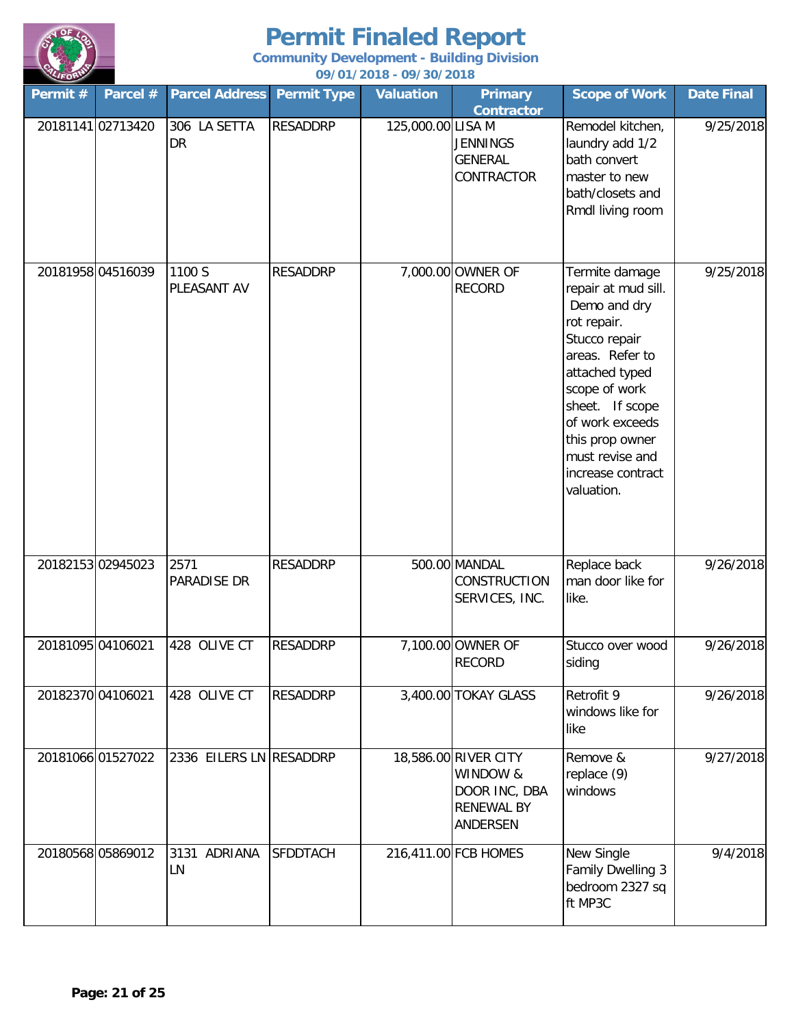

| Permit #          | Parcel #          | <b>Parcel Address</b>     | <b>Permit Type</b> | <b>Valuation</b>  | <b>Primary</b><br><b>Contractor</b>                                                | <b>Scope of Work</b>                                                                                                                                                                                                                                       | <b>Date Final</b> |
|-------------------|-------------------|---------------------------|--------------------|-------------------|------------------------------------------------------------------------------------|------------------------------------------------------------------------------------------------------------------------------------------------------------------------------------------------------------------------------------------------------------|-------------------|
| 20181141 02713420 |                   | 306 LA SETTA<br><b>DR</b> | <b>RESADDRP</b>    | 125,000.00 LISA M | <b>JENNINGS</b><br><b>GENERAL</b><br>CONTRACTOR                                    | Remodel kitchen,<br>laundry add 1/2<br>bath convert<br>master to new<br>bath/closets and<br>Rmdl living room                                                                                                                                               | 9/25/2018         |
|                   | 20181958 04516039 | 1100 S<br>PLEASANT AV     | <b>RESADDRP</b>    |                   | 7,000.00 OWNER OF<br><b>RECORD</b>                                                 | Termite damage<br>repair at mud sill.<br>Demo and dry<br>rot repair.<br>Stucco repair<br>areas. Refer to<br>attached typed<br>scope of work<br>sheet. If scope<br>of work exceeds<br>this prop owner<br>must revise and<br>increase contract<br>valuation. | 9/25/2018         |
| 20182153 02945023 |                   | 2571<br>PARADISE DR       | <b>RESADDRP</b>    |                   | 500.00 MANDAL<br>CONSTRUCTION<br>SERVICES, INC.                                    | Replace back<br>man door like for<br>like.                                                                                                                                                                                                                 | 9/26/2018         |
| 20181095 04106021 |                   | 428 OLIVE CT              | <b>RESADDRP</b>    |                   | 7,100.00 OWNER OF<br><b>RECORD</b>                                                 | Stucco over wood<br>siding                                                                                                                                                                                                                                 | 9/26/2018         |
| 20182370 04106021 |                   | 428 OLIVE CT              | <b>RESADDRP</b>    |                   | 3,400.00 TOKAY GLASS                                                               | Retrofit 9<br>windows like for<br>like                                                                                                                                                                                                                     | 9/26/2018         |
|                   | 20181066 01527022 | 2336 EILERS LN RESADDRP   |                    |                   | 18,586.00 RIVER CITY<br>WINDOW &<br>DOOR INC, DBA<br><b>RENEWAL BY</b><br>ANDERSEN | Remove &<br>replace (9)<br>windows                                                                                                                                                                                                                         | 9/27/2018         |
| 20180568 05869012 |                   | 3131 ADRIANA<br>LN        | <b>SFDDTACH</b>    |                   | 216,411.00 FCB HOMES                                                               | New Single<br>Family Dwelling 3<br>bedroom 2327 sq<br>ft MP3C                                                                                                                                                                                              | 9/4/2018          |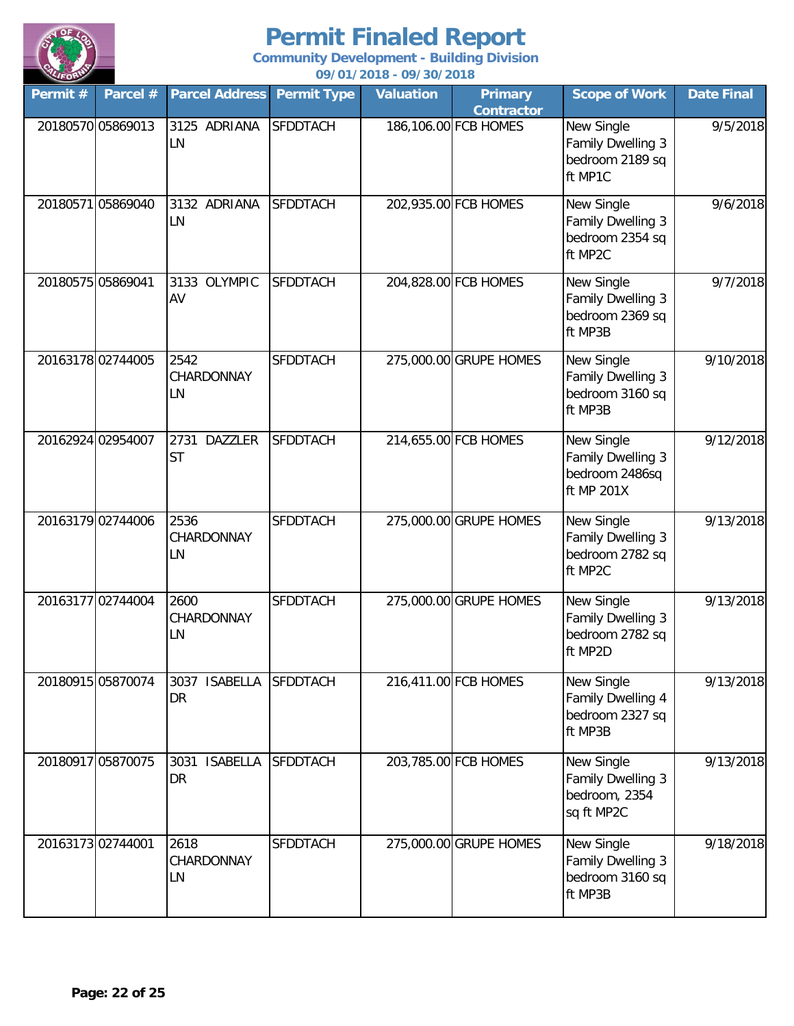

| Permit #          | Parcel #          | <b>Parcel Address Permit Type</b>   |                 | <b>Valuation</b> | <b>Primary</b><br><b>Contractor</b> | <b>Scope of Work</b>                                                 | <b>Date Final</b> |
|-------------------|-------------------|-------------------------------------|-----------------|------------------|-------------------------------------|----------------------------------------------------------------------|-------------------|
|                   | 20180570 05869013 | 3125 ADRIANA<br>LN                  | <b>SFDDTACH</b> |                  | 186,106.00 FCB HOMES                | New Single<br><b>Family Dwelling 3</b><br>bedroom 2189 sq<br>ft MP1C | 9/5/2018          |
|                   | 20180571 05869040 | 3132 ADRIANA<br>LN                  | <b>SFDDTACH</b> |                  | 202,935.00 FCB HOMES                | New Single<br><b>Family Dwelling 3</b><br>bedroom 2354 sq<br>ft MP2C | 9/6/2018          |
| 20180575 05869041 |                   | 3133 OLYMPIC<br>AV                  | <b>SFDDTACH</b> |                  | 204,828.00 FCB HOMES                | New Single<br><b>Family Dwelling 3</b><br>bedroom 2369 sq<br>ft MP3B | 9/7/2018          |
|                   | 20163178 02744005 | 2542<br>CHARDONNAY<br>LN            | <b>SFDDTACH</b> |                  | 275,000.00 GRUPE HOMES              | New Single<br>Family Dwelling 3<br>bedroom 3160 sq<br>ft MP3B        | 9/10/2018         |
|                   | 20162924 02954007 | 2731<br><b>DAZZLER</b><br><b>ST</b> | <b>SFDDTACH</b> |                  | 214,655.00 FCB HOMES                | New Single<br>Family Dwelling 3<br>bedroom 2486sq<br>ft MP 201X      | 9/12/2018         |
|                   | 20163179 02744006 | 2536<br>CHARDONNAY<br>LN            | <b>SFDDTACH</b> |                  | 275,000.00 GRUPE HOMES              | New Single<br>Family Dwelling 3<br>bedroom 2782 sq<br>ft MP2C        | 9/13/2018         |
|                   | 20163177 02744004 | 2600<br>CHARDONNAY<br>LN            | <b>SFDDTACH</b> |                  | 275,000.00 GRUPE HOMES              | New Single<br><b>Family Dwelling 3</b><br>bedroom 2782 sq<br>ft MP2D | 9/13/2018         |
|                   | 20180915 05870074 | 3037 ISABELLA<br>DR                 | <b>SFDDTACH</b> |                  | 216,411.00 FCB HOMES                | New Single<br>Family Dwelling 4<br>bedroom 2327 sq<br>ft MP3B        | 9/13/2018         |
|                   | 20180917 05870075 | <b>ISABELLA</b><br>3031<br>DR       | <b>SFDDTACH</b> |                  | 203,785.00 FCB HOMES                | New Single<br>Family Dwelling 3<br>bedroom, 2354<br>sq ft MP2C       | 9/13/2018         |
|                   | 20163173 02744001 | 2618<br>CHARDONNAY<br>LN            | <b>SFDDTACH</b> |                  | 275,000.00 GRUPE HOMES              | New Single<br>Family Dwelling 3<br>bedroom 3160 sq<br>ft MP3B        | 9/18/2018         |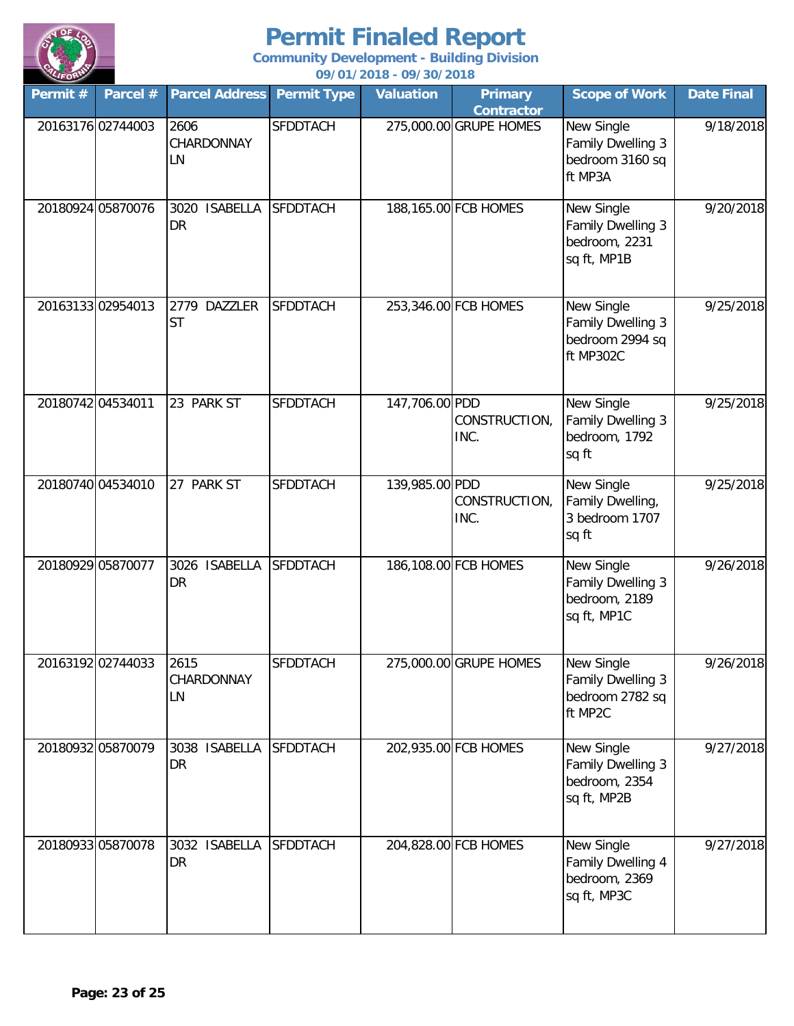

**Community Development - Building Division**

| LIFORM     |                   |                               |                    | 09/01/2018 - 09/30/2018 |                                     |                                                                        |                   |
|------------|-------------------|-------------------------------|--------------------|-------------------------|-------------------------------------|------------------------------------------------------------------------|-------------------|
| Permit $#$ | Parcel #          | <b>Parcel Address</b>         | <b>Permit Type</b> | <b>Valuation</b>        | <b>Primary</b><br><b>Contractor</b> | <b>Scope of Work</b>                                                   | <b>Date Final</b> |
|            | 20163176 02744003 | 2606<br>CHARDONNAY<br>LN      | <b>SFDDTACH</b>    |                         | 275,000.00 GRUPE HOMES              | New Single<br>Family Dwelling 3<br>bedroom 3160 sq<br>ft MP3A          | 9/18/2018         |
|            | 20180924 05870076 | <b>ISABELLA</b><br>3020<br>DR | <b>SFDDTACH</b>    |                         | 188,165.00 FCB HOMES                | New Single<br>Family Dwelling 3<br>bedroom, 2231<br>sq ft, MP1B        | 9/20/2018         |
|            | 20163133 02954013 | 2779 DAZZLER<br>ST            | <b>SFDDTACH</b>    |                         | 253,346.00 FCB HOMES                | New Single<br><b>Family Dwelling 3</b><br>bedroom 2994 sq<br>ft MP302C | 9/25/2018         |
|            | 20180742 04534011 | 23 PARK ST                    | <b>SFDDTACH</b>    | 147,706.00 PDD          | CONSTRUCTION,<br>INC.               | New Single<br>Family Dwelling 3<br>bedroom, 1792<br>sq ft              | 9/25/2018         |
|            | 20180740 04534010 | 27 PARK ST                    | <b>SFDDTACH</b>    | 139,985.00 PDD          | CONSTRUCTION,<br>INC.               | New Single<br>Family Dwelling,<br>3 bedroom 1707<br>sq ft              | 9/25/2018         |
|            | 20180929 05870077 | 3026 ISABELLA<br>DR           | <b>SFDDTACH</b>    |                         | 186,108.00 FCB HOMES                | New Single<br>Family Dwelling 3<br>bedroom, 2189<br>sq ft, MP1C        | 9/26/2018         |
|            | 20163192 02744033 | 2615<br>CHARDONNAY<br>LN      | SFDDTACH           |                         | 275,000.00 GRUPE HOMES              | New Single<br>Family Dwelling 3<br>bedroom 2782 sq<br>ft MP2C          | 9/26/2018         |
|            | 20180932 05870079 | 3038 ISABELLA<br>DR           | <b>SFDDTACH</b>    |                         | 202,935.00 FCB HOMES                | New Single<br>Family Dwelling 3<br>bedroom, 2354<br>sq ft, MP2B        | 9/27/2018         |
|            | 20180933 05870078 | 3032 ISABELLA<br>DR           | <b>SFDDTACH</b>    |                         | 204,828.00 FCB HOMES                | New Single<br>Family Dwelling 4<br>bedroom, 2369<br>sq ft, MP3C        | 9/27/2018         |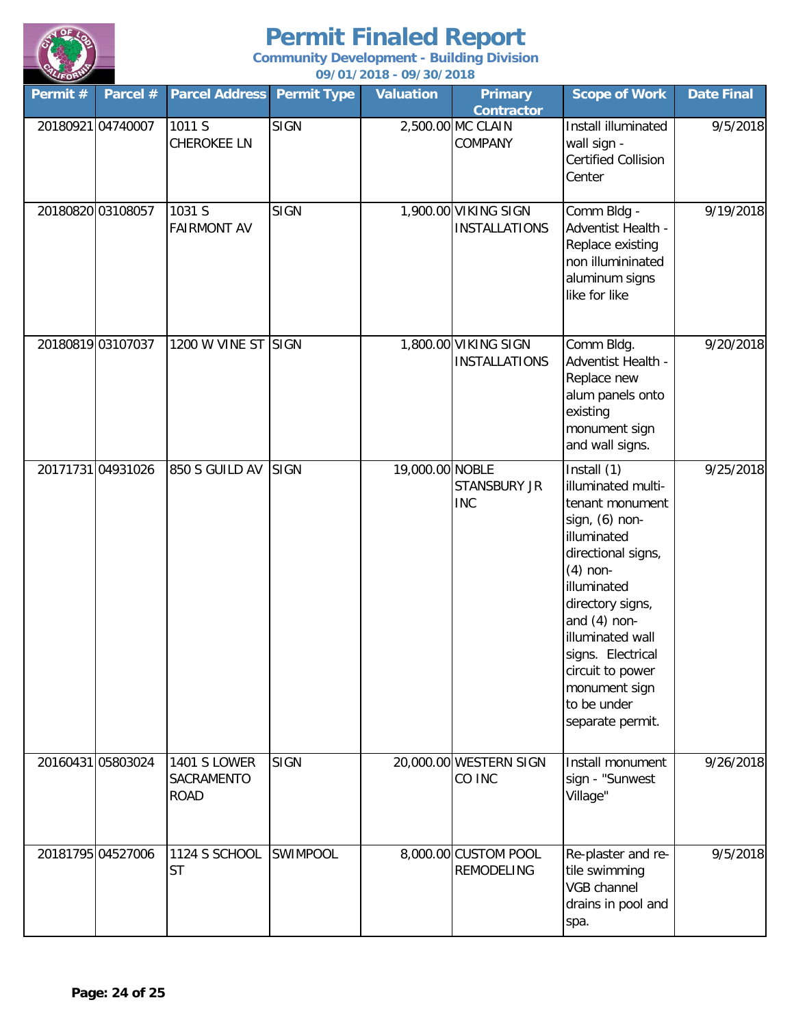

| Permit #          | Parcel # | <b>Parcel Address</b>                            | <b>Permit Type</b> | <b>Valuation</b> | <b>Primary</b><br><b>Contractor</b>          | <b>Scope of Work</b>                                                                                                                                                                                                                                                                            | <b>Date Final</b> |
|-------------------|----------|--------------------------------------------------|--------------------|------------------|----------------------------------------------|-------------------------------------------------------------------------------------------------------------------------------------------------------------------------------------------------------------------------------------------------------------------------------------------------|-------------------|
| 20180921 04740007 |          | 1011 S<br><b>CHEROKEE LN</b>                     | <b>SIGN</b>        |                  | 2,500.00 MC CLAIN<br><b>COMPANY</b>          | Install illuminated<br>wall sign -<br><b>Certified Collision</b><br>Center                                                                                                                                                                                                                      | 9/5/2018          |
| 20180820 03108057 |          | 1031 S<br><b>FAIRMONT AV</b>                     | <b>SIGN</b>        |                  | 1,900.00 VIKING SIGN<br><b>INSTALLATIONS</b> | Comm Bldg -<br>Adventist Health -<br>Replace existing<br>non illumininated<br>aluminum signs<br>like for like                                                                                                                                                                                   | 9/19/2018         |
| 20180819 03107037 |          | 1200 W VINE ST SIGN                              |                    |                  | 1,800.00 VIKING SIGN<br><b>INSTALLATIONS</b> | Comm Bldg.<br>Adventist Health -<br>Replace new<br>alum panels onto<br>existing<br>monument sign<br>and wall signs.                                                                                                                                                                             | 9/20/2018         |
| 20171731 04931026 |          | 850 S GUILD AV                                   | <b>SIGN</b>        | 19,000.00 NOBLE  | <b>STANSBURY JR</b><br><b>INC</b>            | Install (1)<br>illuminated multi-<br>tenant monument<br>sign, (6) non-<br>illuminated<br>directional signs,<br>$(4)$ non-<br>illuminated<br>directory signs,<br>and $(4)$ non-<br>illuminated wall<br>signs. Electrical<br>circuit to power<br>monument sign<br>to be under<br>separate permit. | 9/25/2018         |
| 20160431 05803024 |          | <b>1401 S LOWER</b><br>SACRAMENTO<br><b>ROAD</b> | <b>SIGN</b>        |                  | 20,000.00 WESTERN SIGN<br>CO INC             | Install monument<br>sign - "Sunwest<br>Village"                                                                                                                                                                                                                                                 | 9/26/2018         |
| 20181795 04527006 |          | 1124 S SCHOOL<br><b>ST</b>                       | <b>SWIMPOOL</b>    |                  | 8,000.00 CUSTOM POOL<br><b>REMODELING</b>    | Re-plaster and re-<br>tile swimming<br>VGB channel<br>drains in pool and<br>spa.                                                                                                                                                                                                                | 9/5/2018          |